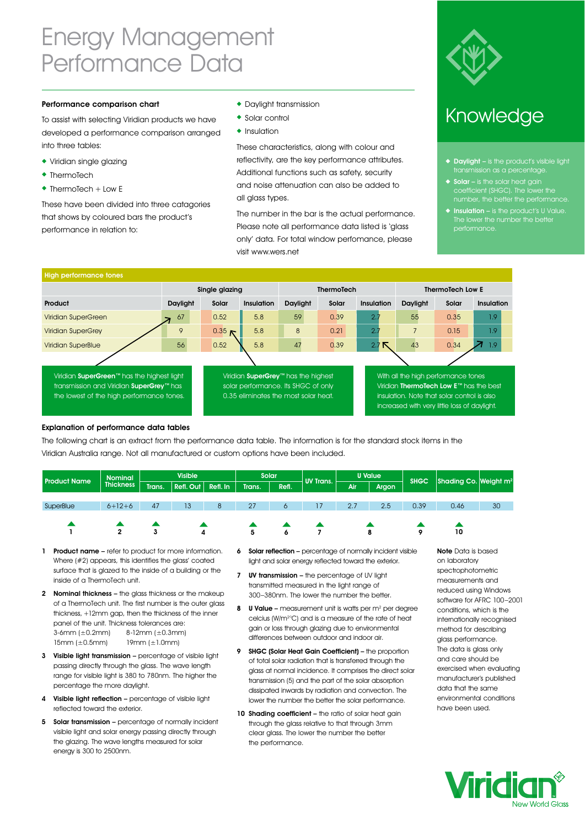### Energy Management Performance Data

#### Performance comparison chart

To assist with selecting Viridian products we have developed a performance comparison arranged into three tables:

- Viridian single glazing
- $\bullet$  ThermoTech
- $\bullet$  ThermoTech + Low E

These have been divided into three catagories that shows by coloured bars the product's performance in relation to:

- ! Daylight transmission
- ◆ Solar control
- $\triangleleft$  Insulation

These characteristics, along with colour and reflectivity, are the key performance attributes. Additional functions such as safety, security and noise attenuation can also be added to all glass types.

The number in the bar is the actual performance. Please note all performance data listed is 'glass only' data. For total window perfomance, please visit www.wers.net



#### Knowledge

- $\blacklozenge$  Daylight is the product's visible light transmission as a percentage.
- $\triangleleft$  Solar is the solar heat gain coefficient (SHGC). The lower the
- $\blacklozenge$  Insulation is the product's U Value. The lower the number the better performance.

| <b>High performance tones</b>                                                                                                                   |          |                   |            |                                                                                                                    |                   |                   |                                                                                                                                                                               |       |            |  |  |  |
|-------------------------------------------------------------------------------------------------------------------------------------------------|----------|-------------------|------------|--------------------------------------------------------------------------------------------------------------------|-------------------|-------------------|-------------------------------------------------------------------------------------------------------------------------------------------------------------------------------|-------|------------|--|--|--|
|                                                                                                                                                 |          | Single glazing    |            |                                                                                                                    | <b>ThermoTech</b> |                   | <b>ThermoTech Low E</b>                                                                                                                                                       |       |            |  |  |  |
| Product                                                                                                                                         | Daylight | Solar             | Insulation | Daylight                                                                                                           | Solar             | <b>Insulation</b> | Daylight                                                                                                                                                                      | Solar | Insulation |  |  |  |
| <b>Viridian SuperGreen</b>                                                                                                                      | 67       | 0.52              | 5.8        | 59                                                                                                                 | 0.39              | 2.7               | 55                                                                                                                                                                            | 0.35  | 1.9        |  |  |  |
| <b>Viridian SuperGrey</b>                                                                                                                       | 9        | 0.35 <sub>N</sub> | 5.8        | 8                                                                                                                  | 0.21              | 2.7               | $\overline{7}$                                                                                                                                                                | 0.15  | 1.9        |  |  |  |
| <b>Viridian SuperBlue</b>                                                                                                                       | 56       | 0.52              | 5.8        | 47                                                                                                                 | 0.39              | ↖<br>2.7          | 43                                                                                                                                                                            | 0.34  | 1.9        |  |  |  |
|                                                                                                                                                 |          |                   |            |                                                                                                                    |                   |                   |                                                                                                                                                                               |       |            |  |  |  |
| Viridian SuperGreen <sup>™</sup> has the highest light<br>transmission and Viridian SuperGrey™ has<br>the lowest of the high performance tones. |          |                   |            | Viridian SuperGrey™ has the highest<br>solar performance. Its SHGC of only<br>0.35 eliminates the most solar heat. |                   |                   | With all the high performance tones<br>Viridian ThermoTech Low E™ has the best<br>insulation. Note that solar control is also<br>increased with very little loss of daylight. |       |            |  |  |  |

#### Explanation of performance data tables

The following chart is an extract from the performance data table. The information is for the standard stock items in the Viridian Australia range. Not all manufactured or custom options have been included.

| <b>Product Name</b> | <b>Nominal</b>                                    | <b>Visible</b> |          |        | Solar |           | <b>UV Trans.</b> | U Value |     | <b>SHGC</b> | Shading Co. Weight m <sup>2</sup> |    |
|---------------------|---------------------------------------------------|----------------|----------|--------|-------|-----------|------------------|---------|-----|-------------|-----------------------------------|----|
|                     | <b>Thickness</b><br>Trans.<br>$Refl.$ Out $\vert$ |                | Refl. In | Trans. | Refl. |           | Air              | Argon   |     |             |                                   |    |
|                     |                                                   |                |          |        |       |           |                  |         |     |             |                                   |    |
| SuperBlue           | $6 + 12 + 6$                                      | 47             | 13       | 8      | 27    | O         | 17               | 2.7     | 2.5 | 0.39        | 0.46                              | 30 |
|                     |                                                   |                |          |        |       |           |                  |         |     |             |                                   |    |
|                     |                                                   |                |          |        |       |           |                  |         |     |             |                                   |    |
|                     | ◠<br>∠                                            | ٠J             | 4        |        | 5     | $\bullet$ |                  |         | 8   | ۰           | 10                                |    |

- 1 Product name refer to product for more information. Where (#2) appears, this identifies the glass' coated surface that is glazed to the inside of a building or the inside of a ThermoTech unit.
- 2 Nominal thickness the glass thickness or the makeup of a ThermoTech unit. The first number is the outer glass thickness, +12mm gap, then the thickness of the inner panel of the unit. Thickness tolerances are: 3-6mm (±0.2mm) 8-12mm (±0.3mm) 15mm (±0.5mm) 19mm (±1.0mm)
- 3 Visible light transmission percentage of visible light passing directly through the glass. The wave length range for visible light is 380 to 780nm. The higher the percentage the more daylight.
- 4 Visible light reflection percentage of visible light reflected toward the exterior.
- 5 Solar transmission percentage of normally incident visible light and solar energy passing directly through the glazing. The wave lengths measured for solar energy is 300 to 2500nm.
- 6 Solar reflection percentage of normally incident visible light and solar energy reflected toward the exterior.
- 7 UV transmission the percentage of UV light transmitted measured in the light range of 300–380nm. The lower the number the better.
- 8  $$ celcius (W/m2 °C) and is a measure of the rate of heat gain or loss through glazing due to environmental differences between outdoor and indoor air.
- 9 SHGC (Solar Heat Gain Coefficient) the proportion of total solar radiation that is transferred through the glass at normal incidence. It comprises the direct solar transmission (5) and the part of the solar absorption dissipated inwards by radiation and convection. The lower the number the better the solar performance.
- 10 Shading coefficient the ratio of solar heat gain through the glass relative to that through 3mm clear glass. The lower the number the better the performance.

Note Data is based on laboratory spectrophotometric measurements and reduced using Windows software for AFRC 100–2001 conditions, which is the internationally recognised method for describing glass performance. The data is glass only and care should be exercised when evaluating manufacturer's published data that the same environmental conditions have been used.

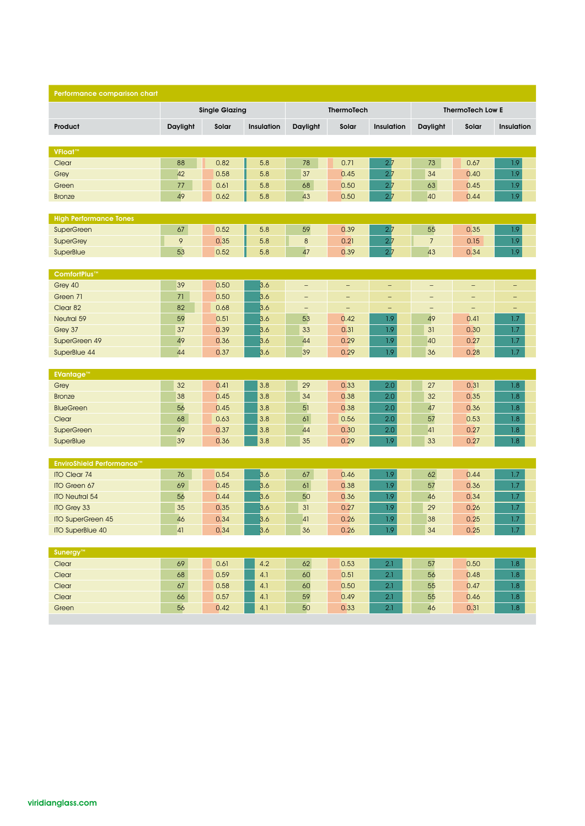| Performance comparison chart     |          |                       |                    |                          |                          |                   |                   |                          |                   |
|----------------------------------|----------|-----------------------|--------------------|--------------------------|--------------------------|-------------------|-------------------|--------------------------|-------------------|
|                                  |          | <b>Single Glazing</b> |                    |                          | ThermoTech               |                   |                   | <b>ThermoTech Low E</b>  |                   |
| Product                          | Daylight | Solar                 | Insulation         | Daylight                 | Solar                    | Insulation        | Daylight          | Solar                    | <b>Insulation</b> |
|                                  |          |                       |                    |                          |                          |                   |                   |                          |                   |
| VFloat™                          |          |                       |                    |                          |                          |                   |                   |                          |                   |
| Clear                            | 88       | 0.82                  | 5.8                | 78                       | 0.71                     | 2.7               | 73                | 0.67                     | 1.9               |
| Grey                             | 42       | 0.58                  | 5.8                | 37                       | 0.45                     | 2.7               | 34                | 0.40                     | 1.9               |
| Green                            | 77       | 0.61                  | 5.8                | 68                       | 0.50                     | 2.7               | 63                | 0.45                     | 1.9               |
| <b>Bronze</b>                    | 49       | 0.62                  | 5.8                | 43                       | 0.50                     | 2.7               | 40                | 0.44                     | 1.9               |
| <b>High Performance Tones</b>    |          |                       |                    |                          |                          |                   |                   |                          |                   |
| <b>SuperGreen</b>                | 67       | 0.52                  | 5.8                | 59                       | 0.39                     | 2.7               | 55                | 0.35                     | 1.9               |
| <b>SuperGrey</b>                 | 9        | 0.35                  | 5.8                | $\bf 8$                  | 0.21                     | 2.7               | $\overline{7}$    | 0.15                     | 1.9               |
| SuperBlue                        | 53       | 0.52                  | 5.8                | 47                       | 0.39                     | 2.7               | 43                | 0.34                     | 1.9               |
|                                  |          |                       |                    |                          |                          |                   |                   |                          |                   |
| ComfortPlus <sup>™</sup>         |          |                       |                    |                          |                          |                   |                   |                          |                   |
| Grey 40                          | 39       | 0.50                  | 3.6                | $\overline{\phantom{a}}$ | -                        | $\qquad \qquad -$ | $\qquad \qquad -$ | $\overline{\phantom{0}}$ | -                 |
| Green 71                         | 71       | 0.50                  | 3.6                | $\qquad \qquad -$        | $\overline{\phantom{0}}$ | $\qquad \qquad -$ | $\qquad \qquad -$ | $\overline{\phantom{0}}$ | $\qquad \qquad -$ |
| Clear 82                         | 82       | 0.68                  | 3.6                | $\overline{\phantom{a}}$ | -                        | -                 | $\qquad \qquad -$ | -                        | -                 |
| Neutral 59<br>Grey 37            | 59<br>37 | 0.51<br>0.39          | 3.6                | 53<br>33                 | 0.42<br>0.31             | 1.9<br>1.9        | 49<br>31          | 0.41<br>0.30             | 1.7<br>1.7        |
| SuperGreen 49                    | 49       | 0.36                  | 3.6<br>3.6         | 44                       | 0.29                     | 1.9               | 40                | 0.27                     | 1.7               |
| SuperBlue 44                     | 44       | 0.37                  | 3.6                | 39                       | 0.29                     | 1.9               | 36                | 0.28                     | 1.7               |
|                                  |          |                       |                    |                          |                          |                   |                   |                          |                   |
| <b>EVantage™</b>                 |          |                       |                    |                          |                          |                   |                   |                          |                   |
| Grey                             | 32       | 0.41                  | 3.8                | 29                       | 0.33                     | 2.0               | 27                | 0.31                     | 1.8               |
| <b>Bronze</b>                    | 38       | 0.45                  | 3.8                | 34                       | 0.38                     | 2.0               | 32                | 0.35                     | 1.8               |
| <b>BlueGreen</b>                 | 56       | 0.45                  | 3.8                | 51                       | 0.38                     | 2.0               | 47                | 0.36                     | 1.8               |
| Clear                            | 68       | 0.63                  | 3.8                | 61                       | 0.56                     | 2.0               | 57                | 0.53                     | 1.8               |
| <b>SuperGreen</b>                | 49       | 0.37                  | 3.8                | 44                       | 0.30                     | 2.0               | 41                | 0.27                     | 1.8               |
| SuperBlue                        | 39       | 0.36                  | 3.8                | 35                       | 0.29                     | 1.9               | 33                | 0.27                     | 1.8               |
| <b>EnviroShield Performance™</b> |          |                       |                    |                          |                          |                   |                   |                          |                   |
| <b>ITO Clear 74</b>              | 76       | 0.54                  | 3.6                | 67                       | 0.46                     | $1.9\,$           | 62                | 0.44                     | 1.7               |
| ITO Green 67                     | 69       | 0.45                  | 3.6                | 61                       | 0.38                     | 1.9               | 57                | 0.36                     | 1.7               |
| <b>ITO Neutral 54</b>            | 56       | 0.44                  | 3.6                | 50                       | 0.36                     | 1.9               | 46                | 0.34                     | 1.7               |
| <b>ITO Grey 33</b>               | 35       | 0.35                  | 3.6                | 31                       | 0.27                     | 1.9               | 29                | 0.26                     | 1.7               |
| <b>ITO SuperGreen 45</b>         | 46       | 0.34                  | 3.6                | 41                       | 0.26                     | 1.9               | 38                | 0.25                     | 1.7               |
| <b>ITO SuperBlue 40</b>          | 41       | 0.34                  | 3.6                | $36\,$                   | 0.26                     | $1.9\,$           | $34\,$            | 0.25                     | 1.7 <sub>z</sub>  |
|                                  |          |                       |                    |                          |                          |                   |                   |                          |                   |
| Sunergy™                         |          |                       |                    |                          |                          |                   |                   |                          |                   |
| Clear                            | 69       | 0.61                  | 4.2                | 62                       | 0.53                     | 2.1               | 57                | 0.50                     | 1.8               |
| Clear<br>Clear                   | 68<br>67 | 0.59<br>0.58          | $4.1\,$<br>$4.1\,$ | 60<br>60                 | 0.51<br>0.50             | 2.1<br>2.1        | 56<br>55          | 0.48<br>0.47             | 1.8<br>1.8        |
| Clear                            | 66       | 0.57                  | 4.1                | 59                       | 0.49                     | 2.1               | 55                | 0.46                     | 1.8               |
| Green                            | 56       | 0.42                  | $4.1\,$            | 50                       | 0.33                     | 2.1               | 46                | 0.31                     | $1.8$             |
|                                  |          |                       |                    |                          |                          |                   |                   |                          |                   |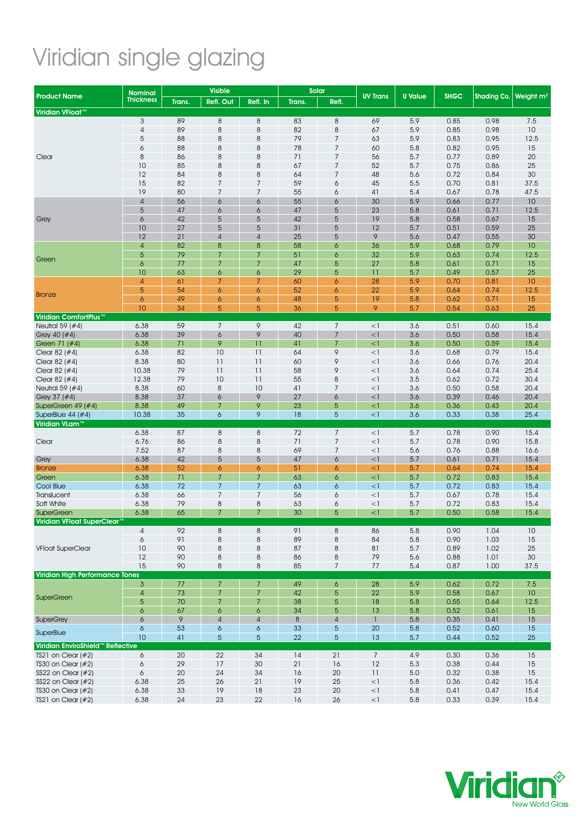# Viridian single glazing

| Nominal                           |                     |          | <b>Visible</b>   |                          |          | Solar               |                 |                |              |              |                       |
|-----------------------------------|---------------------|----------|------------------|--------------------------|----------|---------------------|-----------------|----------------|--------------|--------------|-----------------------|
| <b>Product Name</b>               | <b>Thickness</b>    | Trans.   | <b>Refl. Out</b> | Refl. In                 | Trans.   | Refl.               | <b>UV Trans</b> | <b>U</b> Value | <b>SHGC</b>  | Shading Co.  | Weight m <sup>2</sup> |
| Viridian VFloat™                  |                     |          |                  |                          |          |                     |                 |                |              |              |                       |
|                                   | $\mathfrak{Z}$      | 89       | $\,8\,$          | $\,8\,$                  | 83       | 8                   | 69              | 5.9            | 0.85         | 0.98         | 7.5                   |
|                                   | $\overline{4}$      | 89       | $\,8\,$          | $\,8\,$                  | 82       | 8                   | 67              | 5.9            | 0.85         | 0.98         | 10                    |
|                                   | 5                   | 88       | 8                | 8                        | 79       | $\overline{7}$      | 63              | 5.9            | 0.83         | 0.95         | 12.5                  |
|                                   | 6                   | 88       | 8                | 8                        | 78       | 7                   | 60              | 5.8            | 0.82         | 0.95         | 15                    |
| Clear                             | 8                   | 86       | 8                | 8                        | 71       | 7                   | 56              | 5.7            | 0.77         | 0.89         | 20                    |
|                                   | 10                  | 85       | 8                | 8                        | 67       | $\overline{7}$      | 52              | 5.7            | 0.75         | 0.86         | 25                    |
|                                   | 12                  | 84       | 8                | 8                        | 64       | $\overline{7}$      | 48              | 5.6            | 0.72         | 0.84         | 30                    |
|                                   | 15                  | 82       | $\overline{7}$   | $\overline{7}$           | 59       | 6                   | 45              | 5.5            | 0.70         | 0.81         | 37.5                  |
|                                   | 19                  | 80       | $\overline{7}$   | $\overline{7}$           | 55       | 6                   | 41              | 5.4            | 0.67         | 0.78         | 47.5                  |
|                                   | $\overline{4}$      | 56       | 6                | 6                        | 55       | 6                   | 30              | 5.9            | 0.66         | 0.77         | 10                    |
|                                   | 5                   | 47       | 6                | 6                        | 47       | 5                   | 23              | 5.8            | 0.61         | 0.71         | 12.5                  |
| Grey                              | 6                   | 42       | 5                | 5                        | 42       | 5                   | 19              | 5.8            | 0.58         | 0.67         | 15                    |
|                                   | 10                  | 27       | 5                | 5                        | 31       | 5                   | 12              | 5.7            | 0.51         | 0.59         | 25                    |
|                                   | 12                  | 21       | $\overline{4}$   | $\sqrt{4}$               | 25       | 5                   | 9               | 5.6            | 0.47         | 0.55         | 30                    |
|                                   | $\overline{4}$      | 82       | 8                | 8                        | 58       | 6                   | 36              | 5.9            | 0.68         | 0.79         | 10                    |
| Green                             | $\overline{5}$      | 79       | $\overline{7}$   | $\overline{7}$           | 51       | $\ddot{\circ}$      | 32              | 5.9            | 0.63         | 0.74         | 12.5                  |
|                                   | 6                   | 77       | 7                | $\overline{7}$           | 47       | 5                   | 27              | 5.8            | 0.61         | 0.71         | 15                    |
|                                   | 10                  | 63       | 6                | 6                        | 29       | 5                   | $\overline{11}$ | 5.7            | 0.49         | 0.57         | 25                    |
|                                   | $\overline{4}$<br>5 | 61<br>54 | 7<br>6           | $\overline{7}$           | 60       | 6                   | 28              | 5.9            | 0.70         | 0.81         | 10                    |
| <b>Bronze</b>                     | $\ddot{\circ}$      | 49       | 6                | 6<br>6                   | 52<br>48 | $\ddot{\circ}$<br>5 | 22<br>19        | 5.9<br>5.8     | 0.64<br>0.62 | 0.74<br>0.71 | 12.5<br>15            |
|                                   | 10                  | 34       | 5                | 5                        | 36       | 5                   | 9               | 5.7            | 0.54         | 0.63         | 25                    |
| Viridian ComfortPlus <sup>™</sup> |                     |          |                  |                          |          |                     |                 |                |              |              |                       |
| Neutral 59 (#4)                   | 6.38                | 59       | $7\overline{ }$  | 9                        | 42       | $\overline{7}$      | $<$ ]           | 3.6            | 0.51         | 0.60         | 15.4                  |
| Grey 40 $(#4)$                    | 6.38                | 39       | 6                | 9                        | 40       | $\overline{7}$      | $\leq$ ]        | 3.6            | 0.50         | 0.58         | 15.4                  |
| Green 71 (#4)                     | 6.38                | 71       | 9                | 11                       | 41       | 7                   | $<$ 1           | 3.6            | 0.50         | 0.59         | 15.4                  |
| Clear 82 $(#4)$                   | 6.38                | 82       | 10               | 11                       | 64       | 9                   | $<$ 1           | 3.6            | 0.68         | 0.79         | 15.4                  |
| Clear 82 $(#4)$                   | 8.38                | 80       | 11               | 11                       | 60       | 9                   | $<$ 1           | 3.6            | 0.66         | 0.76         | 20.4                  |
| Clear 82 (#4)                     | 10.38               | 79       | 11               | $\overline{\phantom{a}}$ | 58       | 9                   | $\leq$ ]        | 3.6            | 0.64         | 0.74         | 25.4                  |
| Clear 82 $(#4)$                   | 12.38               | 79       | 10               | 11                       | 55       | $\boldsymbol{8}$    | $<$ 1           | 3.5            | 0.62         | 0.72         | 30.4                  |
| Neutral 59 (#4)                   | 8.38                | 60       | $\,8\,$          | 10                       | 41       | $\overline{7}$      | $\leq$ ]        | 3.6            | 0.50         | 0.58         | 20.4                  |
| Grey 37 (#4)                      | 8.38                | 37       | 6                | $\mathsf{\circ}$         | 27       | 6                   | $\leq$ ]        | 3.6            | 0.39         | 0.46         | 20.4                  |
| SuperGreen 49 (#4)                | 8.38                | 49       | $\overline{7}$   | 9                        | 23       | 5                   | <1              | 3.6            | 0.36         | 0.43         | 20.4                  |
| SuperBlue $44$ (#4)               | 10.38               | 35       | $\ddot{\circ}$   | 9                        | 18       | 5                   | $\leq$ ]        | 3.6            | 0.33         | 0.38         | 25.4                  |
| Viridian VLam™                    |                     |          |                  |                          |          |                     |                 |                |              |              |                       |
|                                   | 6.38                | 87       | $\,8\,$          | $\,8\,$                  | 72       | $\boldsymbol{7}$    | $<$ 1           | 5.7            | 0.78         | 0.90         | 15.4                  |
| Clear                             | 6.76                | 86       | $\,8\,$          | $\,8\,$                  | 71       | $\overline{7}$      | $<$ 1           | 5.7            | 0.78         | 0.90         | 15.8                  |
|                                   | 7.52                | 87       | 8                | 8                        | 69       | $\overline{7}$      | $<$ 1           | 5.6            | 0.76         | 0.88         | 16.6                  |
| Grey                              | 6.38                | 42       | $\overline{5}$   | 5                        | 47       | 6                   | $<$ 1           | 5.7            | 0.61         | 0.71         | 15.4                  |
| <b>Bronze</b>                     | 6.38                | 52       | 6                | 6                        | 51       | 6                   | $<$ 1           | 5.7            | 0.64         | 0.74         | 15.4                  |
| Green                             | 6.38                | 71       | $\overline{7}$   | $\overline{7}$           | 63       | 6                   | $<$ 1           | 5.7            | 0.72         | 0.83         | 15.4                  |
| Cool Blue                         | 6.38                | 72       | $\overline{7}$   | $\overline{7}$           | 63       | $\ddot{\circ}$      | $<$ 1           | 5.7            | 0.72         | 0.83         | 15.4                  |
| Translucent                       | 6.38                | 66       | $\overline{7}$   | $\boldsymbol{7}$         | 56       | 6                   | $<$ 1           | 5.7            | 0.67         | 0.78         | 15.4                  |
| Soft White                        | 6.38                | 79       | 8                | 8                        | 63       | 6                   | $<$ 1           | 5.7            | 0.72         | 0.83         | 15.4                  |
| <b>SuperGreen</b>                 | 6.38                | 65       | $\overline{7}$   | $\overline{7}$           | 30       | 5                   | $\leq$ ]        | 5.7            | 0.50         | 0.58         | 15.4                  |
| Viridian VFloat SuperClear™       |                     |          |                  |                          | 91       |                     |                 |                |              |              |                       |
|                                   | $\overline{4}$<br>6 | 92<br>91 | $\,8\,$<br>8     | 8<br>8                   | 89       | $\,8\,$<br>8        | 86              | 5.8            | 0.90<br>0.90 | 1.04         | 10<br>15              |
| <b>VFloat SuperClear</b>          | 10                  | 90       | $\,8\,$          | $\,8\,$                  | 87       | $\,8\,$             | 84<br>81        | 5.8<br>5.7     | 0.89         | 1.03<br>1.02 | 25                    |
|                                   | 12                  | 90       | $\boldsymbol{8}$ | 8                        | 86       | 8                   | 79              | 5.6            | 0.88         | 1.01         | 30                    |
|                                   | 15                  | 90       | $\,8\,$          | 8                        | 85       | 7                   | 77              | 5.4            | 0.87         | 1.00         | 37.5                  |
| Viridian High Performance Tones   |                     |          |                  |                          |          |                     |                 |                |              |              |                       |
|                                   | $\mathfrak{Z}$      | 77       | $\overline{7}$   | $\overline{7}$           | 49       | 6                   | 28              | 5.9            | 0.62         | 0.72         | 7.5                   |
|                                   | $\overline{4}$      | 73       | $\overline{7}$   | $\overline{7}$           | 42       | 5                   | 22              | 5.9            | 0.58         | 0.67         | 10                    |
| <b>SuperGreen</b>                 | $\overline{5}$      | 70       | $\overline{7}$   | $\overline{7}$           | 38       | $\overline{5}$      | 18              | 5.8            | 0.55         | 0.64         | 12.5                  |
|                                   | 6                   | 67       | 6                | 6                        | 34       | 5                   | 13              | 5.8            | 0.52         | 0.61         | 15                    |
| <b>SuperGrey</b>                  | $\ddot{\circ}$      | 9        | $\overline{4}$   | $\sqrt{4}$               | $\bf 8$  | $\sqrt{4}$          | $\mathbf{1}$    | 5.8            | 0.35         | 0.41         | 15                    |
|                                   | $\ddot{\circ}$      | 53       | $\boldsymbol{6}$ | $\boldsymbol{6}$         | 33       | $\overline{5}$      | 20              | 5.8            | 0.52         | 0.60         | 15                    |
| SuperBlue                         | 10                  | 41       | $5\phantom{.}$   | 5                        | 22       | $\overline{5}$      | 13              | 5.7            | 0.44         | 0.52         | 25                    |
| Viridian EnviroShield™ Reflective |                     |          |                  |                          |          |                     |                 |                |              |              |                       |
| TS21 on Clear $(\#2)$             | 6                   | 20       | 22               | 34                       | 14       | 21                  | $\overline{7}$  | 4.9            | 0.30         | 0.36         | 15                    |
| TS30 on Clear $(\#2)$             | 6                   | 29       | 17               | 30                       | 21       | 16                  | 12              | 5.3            | 0.38         | 0.44         | 15                    |
| SS22 on Clear $(\#2)$             | 6                   | 20       | 24               | 34                       | 16       | 20                  | 11              | 5.0            | 0.32         | 0.38         | 15                    |
| SS22 on Clear $(\#2)$             | 6.38                | 25       | 26               | 21                       | 19       | 25                  | $<$ 1           | 5.8            | 0.36         | 0.42         | 15.4                  |
| TS30 on Clear $(\#2)$             | 6.38                | 33       | 19               | 18                       | 23       | 20                  | $<$ 1           | 5.8            | 0.41         | 0.47         | 15.4                  |
| TS21 on Clear (#2)                | 6.38                | 24       | 23               | $22\,$                   | 16       | 26                  | $<\!1$          | 5.8            | 0.33         | 0.39         | 15.4                  |

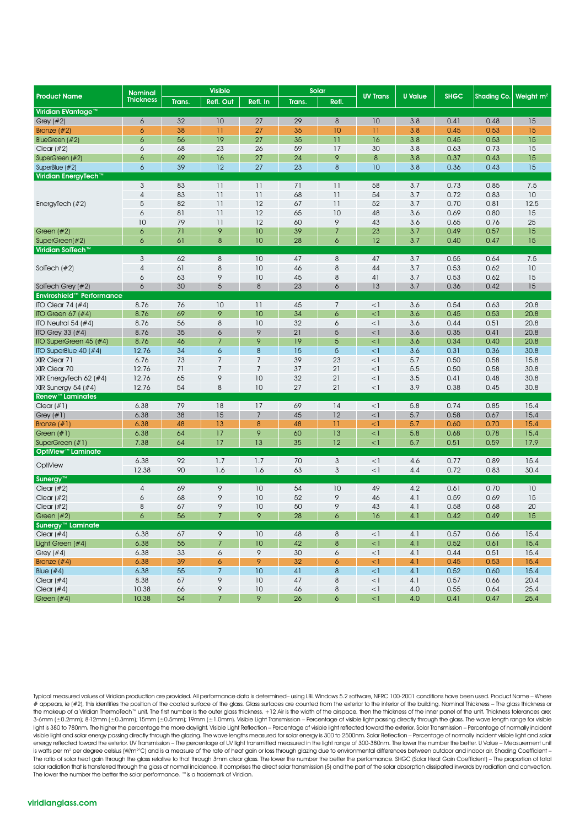| <b>Thickness</b><br>Refl. Out<br>Refl. In<br>Trans.<br>Refl.<br>Trans.<br>Viridian EVantage™<br>32<br>10<br>27<br>29<br>8<br>10<br>3.8<br>0.41<br>0.48<br>15<br>Grey $(\#2)$<br>6<br>38<br>27<br>10<br>11<br>3.8<br>0.53<br>15<br>$\ddot{\circ}$<br>11<br>35<br>0.45<br>Bronze $(\#2)$<br>6<br>56<br>19<br>27<br>35<br>$\overline{11}$<br>16<br>3.8<br>15<br>BlueGreen (#2)<br>0.45<br>0.53<br>23<br>26<br>59<br>17<br>30<br>3.8<br>15<br>Clear $(\#2)$<br>6<br>68<br>0.63<br>0.73<br>49<br>27<br>24<br>9<br>8<br>3.8<br>15<br>SuperGreen (#2)<br>6<br>16<br>0.37<br>0.43<br>6<br>39<br>12<br>27<br>23<br>8<br>10<br>3.8<br>0.36<br>15<br>SuperBlue (#2)<br>0.43<br>Viridian EnergyTech™<br>3<br>11<br>11<br>71<br>11<br>58<br>7.5<br>83<br>3.7<br>0.73<br>0.85<br>$\overline{4}$<br>83<br>11<br>11<br>68<br>11<br>54<br>3.7<br>0.72<br>0.83<br>10<br>5<br>82<br>11<br>12<br>67<br>11<br>52<br>3.7<br>0.70<br>0.81<br>12.5<br>EnergyTech $#2)$<br>6<br>81<br>12<br>10<br>48<br>3.6<br>15<br>$\overline{11}$<br>65<br>0.69<br>0.80<br>9<br>79<br>12<br>25<br>10<br>$\overline{11}$<br>60<br>43<br>3.6<br>0.65<br>0.76<br>9<br>10<br>39<br>$\overline{7}$<br>23<br>3.7<br>15<br>Green $#2)$<br>6<br>71<br>0.49<br>0.57<br>6<br>61<br>$\boldsymbol{8}$<br>10<br>28<br>6<br>12<br>3.7<br>15<br>SuperGreen(#2)<br>0.40<br>0.47<br>Viridian SolTech™<br>$\mathbf{3}$<br>62<br>8<br>10<br>47<br>8<br>47<br>3.7<br>7.5<br>0.55<br>0.64<br>8<br>10<br>8<br>44<br>3.7<br>10<br>$\overline{4}$<br>61<br>46<br>0.53<br>0.62<br>SolTech $(\#2)$<br>63<br>9<br>10<br>45<br>8<br>3.7<br>0.62<br>15<br>6<br>41<br>0.53<br>30<br>5<br>8<br>23<br>13<br>3.7<br>15<br>6<br>6<br>0.36<br>0.42<br>SolTech Grey (#2)<br>Enviroshield™<br>Performance<br>0.54<br>20.8<br>ITO Clear 74 $(\#4)$<br>8.76<br>76<br>10<br>11<br>45<br>$\overline{7}$<br>$<$ ]<br>3.6<br>0.63<br>9<br>8.76<br>69<br>10<br>34<br>6<br>$<$ ]<br>3.6<br>0.53<br>20.8<br>ITO Green 67 $(\#4)$<br>0.45<br>$\,8\,$<br>10<br>8.76<br>56<br>32<br>6<br>3.6<br>0.44<br>0.51<br>20.8<br>ITO Neutral 54 $(#4)$<br>$<$ ]<br>8.76<br>35<br>9<br>21<br>20.8<br>ITO Grey 33 $(\#4)$<br>6<br>5<br>$<$ 1<br>3.6<br>0.35<br>0.41<br>9<br>46<br>$\overline{7}$<br>19<br>5<br>3.6<br>20.8<br>ITO SuperGreen 45 (#4)<br>8.76<br>$<$ ]<br>0.34<br>0.40<br>34<br>8<br>15<br>ITO SuperBlue $40$ (#4)<br>12.76<br>6<br>5<br>$<$ ]<br>3.6<br>0.31<br>0.36<br>30.8<br>$\overline{7}$<br>6.76<br>73<br>$\overline{7}$<br>39<br>23<br>5.7<br>0.50<br>0.58<br>15.8<br>XIR Clear 71<br>$<$ ]<br>$\overline{7}$<br>21<br>XIR Clear 70<br>12.76<br>71<br>7<br>37<br>$<$ ]<br>5.5<br>0.58<br>30.8<br>0.50<br>21<br>9<br>10<br>32<br>XIR EnergyTech 62 $(\#4)$<br>12.76<br>65<br>$<$ ]<br>3.5<br>0.41<br>30.8<br>0.48<br>54<br>8<br>10<br>27<br>21<br>3.9<br>30.8<br>XIR Sunergy 54 $(\#4)$<br>12.76<br>$<$ 1<br>0.38<br>0.45<br><b>Renew™ Laminates</b><br>79<br>17<br>6.38<br>18<br>69<br>14<br>5.8<br>0.74<br>0.85<br>15.4<br>Clear $(\#1)$<br>$\leq$ ]<br>6.38<br>38<br>15<br>$\overline{7}$<br>45<br>12<br>5.7<br>15.4<br>Grey $(\#1)$<br>$\leq$ 1<br>0.58<br>0.67<br>48<br>13<br>8<br>11<br>Bronze $(\#1)$<br>6.38<br>48<br>$<$ 1<br>5.7<br>0.60<br>0.70<br>15.4<br>9<br>17<br>13<br>5.8<br>6.38<br>64<br>60<br>$\leq$ ]<br>0.68<br>0.78<br>15.4<br>Green $(\#1)$<br>17<br>7.38<br>13<br>35<br>12<br>5.7<br>17.9<br>64<br>$<$ 1<br>0.51<br>0.59<br>SuperGreen (#1)<br><b>OptiView™ Laminate</b><br>92<br>3<br>6.38<br>1.7<br>1.7<br>70<br>$<$ 1<br>4.6<br>0.77<br>0.89<br>15.4<br>OptiView<br>12.38<br>90<br>1.6<br>1.6<br>63<br>3<br>$<$ ]<br>0.72<br>0.83<br>30.4<br>4.4<br>Sunergy™<br>9<br>69<br>10<br>54<br>10<br>49<br>10<br>Clear $(\#2)$<br>$\overline{4}$<br>4.2<br>0.61<br>0.70<br>68<br>9<br>10<br>52<br>9<br>Clear $(\#2)$<br>6<br>46<br>4.1<br>0.59<br>0.69<br>15<br>9<br>8<br>67<br>10<br>50<br>9<br>43<br>20<br>Clear $(\#2)$<br>4.1<br>0.58<br>0.68<br>56<br>7<br>9<br>28<br>4.1<br>15<br>6<br>16<br>0.42<br>0.49<br>Green $#2)$<br>6<br>Sunergy <sup>™</sup> Laminate<br>9<br>6.38<br>67<br>10<br>48<br>8<br>4.1<br>0.57<br>0.66<br>15.4<br>Clear $(\#4)$<br>$<$ 1<br>$\overline{7}$<br>$\bf 8$<br>Light Green (#4)<br>6.38<br>55<br>$10\,$<br>42<br>$<$ ]<br>4.1<br>0.61<br>15.4<br>0.52<br>$\boldsymbol{6}$<br>9<br>$\boldsymbol{6}$<br>Grey $(#4)$<br>6.38<br>33<br>30<br>$<$ 1<br>4.1<br>0.44<br>0.51<br>15.4<br>39<br>9<br>Bronze $(#4)$<br>6.38<br>$\boldsymbol{6}$<br>32<br>6<br>$<$ 1<br>4.1<br>0.53<br>0.45<br>15.4<br>$\overline{7}$<br>55<br>10<br>41<br>$\bf 8$<br>Blue $(\#4)$<br>6.38<br>$<\!1$<br>4.1<br>0.52<br>0.60<br>15.4<br>9<br>8.38<br>67<br>$10$<br>47<br>8<br>4.1<br>20.4<br>Clear $(#4)$<br>$<$ 1<br>0.57<br>0.66<br>9<br>10.38<br>66<br>$10$<br>46<br>8<br>$<$ 1<br>4.0<br>0.55<br>0.64<br>25.4<br>Clear $(#4)$ |                     | <b>Nominal</b> | <b>Visible</b> |                |   | Solar |                  |                 |                |             |             |                       |
|----------------------------------------------------------------------------------------------------------------------------------------------------------------------------------------------------------------------------------------------------------------------------------------------------------------------------------------------------------------------------------------------------------------------------------------------------------------------------------------------------------------------------------------------------------------------------------------------------------------------------------------------------------------------------------------------------------------------------------------------------------------------------------------------------------------------------------------------------------------------------------------------------------------------------------------------------------------------------------------------------------------------------------------------------------------------------------------------------------------------------------------------------------------------------------------------------------------------------------------------------------------------------------------------------------------------------------------------------------------------------------------------------------------------------------------------------------------------------------------------------------------------------------------------------------------------------------------------------------------------------------------------------------------------------------------------------------------------------------------------------------------------------------------------------------------------------------------------------------------------------------------------------------------------------------------------------------------------------------------------------------------------------------------------------------------------------------------------------------------------------------------------------------------------------------------------------------------------------------------------------------------------------------------------------------------------------------------------------------------------------------------------------------------------------------------------------------------------------------------------------------------------------------------------------------------------------------------------------------------------------------------------------------------------------------------------------------------------------------------------------------------------------------------------------------------------------------------------------------------------------------------------------------------------------------------------------------------------------------------------------------------------------------------------------------------------------------------------------------------------------------------------------------------------------------------------------------------------------------------------------------------------------------------------------------------------------------------------------------------------------------------------------------------------------------------------------------------------------------------------------------------------------------------------------------------------------------------------------------------------------------------------------------------------------------------------------------------------------------------------------------------------------------------------------------------------------------------------------------------------------------------------------------------------------------------------------------------------------------------------------------------------------------------------------------------------------------------------------------------------------------------------------------------------------------------------------------------------------------------------------------------------------------------------------------------------------------------------------------------------------------------------------------------------------------------------------------------------------------------------------------------------------------------------------------------------------------------------------------------------------------------------------------------------------------------------------------------------------------------------------------------------------------|---------------------|----------------|----------------|----------------|---|-------|------------------|-----------------|----------------|-------------|-------------|-----------------------|
|                                                                                                                                                                                                                                                                                                                                                                                                                                                                                                                                                                                                                                                                                                                                                                                                                                                                                                                                                                                                                                                                                                                                                                                                                                                                                                                                                                                                                                                                                                                                                                                                                                                                                                                                                                                                                                                                                                                                                                                                                                                                                                                                                                                                                                                                                                                                                                                                                                                                                                                                                                                                                                                                                                                                                                                                                                                                                                                                                                                                                                                                                                                                                                                                                                                                                                                                                                                                                                                                                                                                                                                                                                                                                                                                                                                                                                                                                                                                                                                                                                                                                                                                                                                                                                                                                                                                                                                                                                                                                                                                                                                                                                                                                                                                                                                  | <b>Product Name</b> |                |                |                |   |       |                  | <b>UV Trans</b> | <b>U</b> Value | <b>SHGC</b> | Shading Co. | Weight m <sup>2</sup> |
|                                                                                                                                                                                                                                                                                                                                                                                                                                                                                                                                                                                                                                                                                                                                                                                                                                                                                                                                                                                                                                                                                                                                                                                                                                                                                                                                                                                                                                                                                                                                                                                                                                                                                                                                                                                                                                                                                                                                                                                                                                                                                                                                                                                                                                                                                                                                                                                                                                                                                                                                                                                                                                                                                                                                                                                                                                                                                                                                                                                                                                                                                                                                                                                                                                                                                                                                                                                                                                                                                                                                                                                                                                                                                                                                                                                                                                                                                                                                                                                                                                                                                                                                                                                                                                                                                                                                                                                                                                                                                                                                                                                                                                                                                                                                                                                  |                     |                |                |                |   |       |                  |                 |                |             |             |                       |
|                                                                                                                                                                                                                                                                                                                                                                                                                                                                                                                                                                                                                                                                                                                                                                                                                                                                                                                                                                                                                                                                                                                                                                                                                                                                                                                                                                                                                                                                                                                                                                                                                                                                                                                                                                                                                                                                                                                                                                                                                                                                                                                                                                                                                                                                                                                                                                                                                                                                                                                                                                                                                                                                                                                                                                                                                                                                                                                                                                                                                                                                                                                                                                                                                                                                                                                                                                                                                                                                                                                                                                                                                                                                                                                                                                                                                                                                                                                                                                                                                                                                                                                                                                                                                                                                                                                                                                                                                                                                                                                                                                                                                                                                                                                                                                                  |                     |                |                |                |   |       |                  |                 |                |             |             |                       |
|                                                                                                                                                                                                                                                                                                                                                                                                                                                                                                                                                                                                                                                                                                                                                                                                                                                                                                                                                                                                                                                                                                                                                                                                                                                                                                                                                                                                                                                                                                                                                                                                                                                                                                                                                                                                                                                                                                                                                                                                                                                                                                                                                                                                                                                                                                                                                                                                                                                                                                                                                                                                                                                                                                                                                                                                                                                                                                                                                                                                                                                                                                                                                                                                                                                                                                                                                                                                                                                                                                                                                                                                                                                                                                                                                                                                                                                                                                                                                                                                                                                                                                                                                                                                                                                                                                                                                                                                                                                                                                                                                                                                                                                                                                                                                                                  |                     |                |                |                |   |       |                  |                 |                |             |             |                       |
|                                                                                                                                                                                                                                                                                                                                                                                                                                                                                                                                                                                                                                                                                                                                                                                                                                                                                                                                                                                                                                                                                                                                                                                                                                                                                                                                                                                                                                                                                                                                                                                                                                                                                                                                                                                                                                                                                                                                                                                                                                                                                                                                                                                                                                                                                                                                                                                                                                                                                                                                                                                                                                                                                                                                                                                                                                                                                                                                                                                                                                                                                                                                                                                                                                                                                                                                                                                                                                                                                                                                                                                                                                                                                                                                                                                                                                                                                                                                                                                                                                                                                                                                                                                                                                                                                                                                                                                                                                                                                                                                                                                                                                                                                                                                                                                  |                     |                |                |                |   |       |                  |                 |                |             |             |                       |
|                                                                                                                                                                                                                                                                                                                                                                                                                                                                                                                                                                                                                                                                                                                                                                                                                                                                                                                                                                                                                                                                                                                                                                                                                                                                                                                                                                                                                                                                                                                                                                                                                                                                                                                                                                                                                                                                                                                                                                                                                                                                                                                                                                                                                                                                                                                                                                                                                                                                                                                                                                                                                                                                                                                                                                                                                                                                                                                                                                                                                                                                                                                                                                                                                                                                                                                                                                                                                                                                                                                                                                                                                                                                                                                                                                                                                                                                                                                                                                                                                                                                                                                                                                                                                                                                                                                                                                                                                                                                                                                                                                                                                                                                                                                                                                                  |                     |                |                |                |   |       |                  |                 |                |             |             |                       |
|                                                                                                                                                                                                                                                                                                                                                                                                                                                                                                                                                                                                                                                                                                                                                                                                                                                                                                                                                                                                                                                                                                                                                                                                                                                                                                                                                                                                                                                                                                                                                                                                                                                                                                                                                                                                                                                                                                                                                                                                                                                                                                                                                                                                                                                                                                                                                                                                                                                                                                                                                                                                                                                                                                                                                                                                                                                                                                                                                                                                                                                                                                                                                                                                                                                                                                                                                                                                                                                                                                                                                                                                                                                                                                                                                                                                                                                                                                                                                                                                                                                                                                                                                                                                                                                                                                                                                                                                                                                                                                                                                                                                                                                                                                                                                                                  |                     |                |                |                |   |       |                  |                 |                |             |             |                       |
|                                                                                                                                                                                                                                                                                                                                                                                                                                                                                                                                                                                                                                                                                                                                                                                                                                                                                                                                                                                                                                                                                                                                                                                                                                                                                                                                                                                                                                                                                                                                                                                                                                                                                                                                                                                                                                                                                                                                                                                                                                                                                                                                                                                                                                                                                                                                                                                                                                                                                                                                                                                                                                                                                                                                                                                                                                                                                                                                                                                                                                                                                                                                                                                                                                                                                                                                                                                                                                                                                                                                                                                                                                                                                                                                                                                                                                                                                                                                                                                                                                                                                                                                                                                                                                                                                                                                                                                                                                                                                                                                                                                                                                                                                                                                                                                  |                     |                |                |                |   |       |                  |                 |                |             |             |                       |
|                                                                                                                                                                                                                                                                                                                                                                                                                                                                                                                                                                                                                                                                                                                                                                                                                                                                                                                                                                                                                                                                                                                                                                                                                                                                                                                                                                                                                                                                                                                                                                                                                                                                                                                                                                                                                                                                                                                                                                                                                                                                                                                                                                                                                                                                                                                                                                                                                                                                                                                                                                                                                                                                                                                                                                                                                                                                                                                                                                                                                                                                                                                                                                                                                                                                                                                                                                                                                                                                                                                                                                                                                                                                                                                                                                                                                                                                                                                                                                                                                                                                                                                                                                                                                                                                                                                                                                                                                                                                                                                                                                                                                                                                                                                                                                                  |                     |                |                |                |   |       |                  |                 |                |             |             |                       |
|                                                                                                                                                                                                                                                                                                                                                                                                                                                                                                                                                                                                                                                                                                                                                                                                                                                                                                                                                                                                                                                                                                                                                                                                                                                                                                                                                                                                                                                                                                                                                                                                                                                                                                                                                                                                                                                                                                                                                                                                                                                                                                                                                                                                                                                                                                                                                                                                                                                                                                                                                                                                                                                                                                                                                                                                                                                                                                                                                                                                                                                                                                                                                                                                                                                                                                                                                                                                                                                                                                                                                                                                                                                                                                                                                                                                                                                                                                                                                                                                                                                                                                                                                                                                                                                                                                                                                                                                                                                                                                                                                                                                                                                                                                                                                                                  |                     |                |                |                |   |       |                  |                 |                |             |             |                       |
|                                                                                                                                                                                                                                                                                                                                                                                                                                                                                                                                                                                                                                                                                                                                                                                                                                                                                                                                                                                                                                                                                                                                                                                                                                                                                                                                                                                                                                                                                                                                                                                                                                                                                                                                                                                                                                                                                                                                                                                                                                                                                                                                                                                                                                                                                                                                                                                                                                                                                                                                                                                                                                                                                                                                                                                                                                                                                                                                                                                                                                                                                                                                                                                                                                                                                                                                                                                                                                                                                                                                                                                                                                                                                                                                                                                                                                                                                                                                                                                                                                                                                                                                                                                                                                                                                                                                                                                                                                                                                                                                                                                                                                                                                                                                                                                  |                     |                |                |                |   |       |                  |                 |                |             |             |                       |
|                                                                                                                                                                                                                                                                                                                                                                                                                                                                                                                                                                                                                                                                                                                                                                                                                                                                                                                                                                                                                                                                                                                                                                                                                                                                                                                                                                                                                                                                                                                                                                                                                                                                                                                                                                                                                                                                                                                                                                                                                                                                                                                                                                                                                                                                                                                                                                                                                                                                                                                                                                                                                                                                                                                                                                                                                                                                                                                                                                                                                                                                                                                                                                                                                                                                                                                                                                                                                                                                                                                                                                                                                                                                                                                                                                                                                                                                                                                                                                                                                                                                                                                                                                                                                                                                                                                                                                                                                                                                                                                                                                                                                                                                                                                                                                                  |                     |                |                |                |   |       |                  |                 |                |             |             |                       |
|                                                                                                                                                                                                                                                                                                                                                                                                                                                                                                                                                                                                                                                                                                                                                                                                                                                                                                                                                                                                                                                                                                                                                                                                                                                                                                                                                                                                                                                                                                                                                                                                                                                                                                                                                                                                                                                                                                                                                                                                                                                                                                                                                                                                                                                                                                                                                                                                                                                                                                                                                                                                                                                                                                                                                                                                                                                                                                                                                                                                                                                                                                                                                                                                                                                                                                                                                                                                                                                                                                                                                                                                                                                                                                                                                                                                                                                                                                                                                                                                                                                                                                                                                                                                                                                                                                                                                                                                                                                                                                                                                                                                                                                                                                                                                                                  |                     |                |                |                |   |       |                  |                 |                |             |             |                       |
|                                                                                                                                                                                                                                                                                                                                                                                                                                                                                                                                                                                                                                                                                                                                                                                                                                                                                                                                                                                                                                                                                                                                                                                                                                                                                                                                                                                                                                                                                                                                                                                                                                                                                                                                                                                                                                                                                                                                                                                                                                                                                                                                                                                                                                                                                                                                                                                                                                                                                                                                                                                                                                                                                                                                                                                                                                                                                                                                                                                                                                                                                                                                                                                                                                                                                                                                                                                                                                                                                                                                                                                                                                                                                                                                                                                                                                                                                                                                                                                                                                                                                                                                                                                                                                                                                                                                                                                                                                                                                                                                                                                                                                                                                                                                                                                  |                     |                |                |                |   |       |                  |                 |                |             |             |                       |
|                                                                                                                                                                                                                                                                                                                                                                                                                                                                                                                                                                                                                                                                                                                                                                                                                                                                                                                                                                                                                                                                                                                                                                                                                                                                                                                                                                                                                                                                                                                                                                                                                                                                                                                                                                                                                                                                                                                                                                                                                                                                                                                                                                                                                                                                                                                                                                                                                                                                                                                                                                                                                                                                                                                                                                                                                                                                                                                                                                                                                                                                                                                                                                                                                                                                                                                                                                                                                                                                                                                                                                                                                                                                                                                                                                                                                                                                                                                                                                                                                                                                                                                                                                                                                                                                                                                                                                                                                                                                                                                                                                                                                                                                                                                                                                                  |                     |                |                |                |   |       |                  |                 |                |             |             |                       |
|                                                                                                                                                                                                                                                                                                                                                                                                                                                                                                                                                                                                                                                                                                                                                                                                                                                                                                                                                                                                                                                                                                                                                                                                                                                                                                                                                                                                                                                                                                                                                                                                                                                                                                                                                                                                                                                                                                                                                                                                                                                                                                                                                                                                                                                                                                                                                                                                                                                                                                                                                                                                                                                                                                                                                                                                                                                                                                                                                                                                                                                                                                                                                                                                                                                                                                                                                                                                                                                                                                                                                                                                                                                                                                                                                                                                                                                                                                                                                                                                                                                                                                                                                                                                                                                                                                                                                                                                                                                                                                                                                                                                                                                                                                                                                                                  |                     |                |                |                |   |       |                  |                 |                |             |             |                       |
|                                                                                                                                                                                                                                                                                                                                                                                                                                                                                                                                                                                                                                                                                                                                                                                                                                                                                                                                                                                                                                                                                                                                                                                                                                                                                                                                                                                                                                                                                                                                                                                                                                                                                                                                                                                                                                                                                                                                                                                                                                                                                                                                                                                                                                                                                                                                                                                                                                                                                                                                                                                                                                                                                                                                                                                                                                                                                                                                                                                                                                                                                                                                                                                                                                                                                                                                                                                                                                                                                                                                                                                                                                                                                                                                                                                                                                                                                                                                                                                                                                                                                                                                                                                                                                                                                                                                                                                                                                                                                                                                                                                                                                                                                                                                                                                  |                     |                |                |                |   |       |                  |                 |                |             |             |                       |
|                                                                                                                                                                                                                                                                                                                                                                                                                                                                                                                                                                                                                                                                                                                                                                                                                                                                                                                                                                                                                                                                                                                                                                                                                                                                                                                                                                                                                                                                                                                                                                                                                                                                                                                                                                                                                                                                                                                                                                                                                                                                                                                                                                                                                                                                                                                                                                                                                                                                                                                                                                                                                                                                                                                                                                                                                                                                                                                                                                                                                                                                                                                                                                                                                                                                                                                                                                                                                                                                                                                                                                                                                                                                                                                                                                                                                                                                                                                                                                                                                                                                                                                                                                                                                                                                                                                                                                                                                                                                                                                                                                                                                                                                                                                                                                                  |                     |                |                |                |   |       |                  |                 |                |             |             |                       |
|                                                                                                                                                                                                                                                                                                                                                                                                                                                                                                                                                                                                                                                                                                                                                                                                                                                                                                                                                                                                                                                                                                                                                                                                                                                                                                                                                                                                                                                                                                                                                                                                                                                                                                                                                                                                                                                                                                                                                                                                                                                                                                                                                                                                                                                                                                                                                                                                                                                                                                                                                                                                                                                                                                                                                                                                                                                                                                                                                                                                                                                                                                                                                                                                                                                                                                                                                                                                                                                                                                                                                                                                                                                                                                                                                                                                                                                                                                                                                                                                                                                                                                                                                                                                                                                                                                                                                                                                                                                                                                                                                                                                                                                                                                                                                                                  |                     |                |                |                |   |       |                  |                 |                |             |             |                       |
|                                                                                                                                                                                                                                                                                                                                                                                                                                                                                                                                                                                                                                                                                                                                                                                                                                                                                                                                                                                                                                                                                                                                                                                                                                                                                                                                                                                                                                                                                                                                                                                                                                                                                                                                                                                                                                                                                                                                                                                                                                                                                                                                                                                                                                                                                                                                                                                                                                                                                                                                                                                                                                                                                                                                                                                                                                                                                                                                                                                                                                                                                                                                                                                                                                                                                                                                                                                                                                                                                                                                                                                                                                                                                                                                                                                                                                                                                                                                                                                                                                                                                                                                                                                                                                                                                                                                                                                                                                                                                                                                                                                                                                                                                                                                                                                  |                     |                |                |                |   |       |                  |                 |                |             |             |                       |
|                                                                                                                                                                                                                                                                                                                                                                                                                                                                                                                                                                                                                                                                                                                                                                                                                                                                                                                                                                                                                                                                                                                                                                                                                                                                                                                                                                                                                                                                                                                                                                                                                                                                                                                                                                                                                                                                                                                                                                                                                                                                                                                                                                                                                                                                                                                                                                                                                                                                                                                                                                                                                                                                                                                                                                                                                                                                                                                                                                                                                                                                                                                                                                                                                                                                                                                                                                                                                                                                                                                                                                                                                                                                                                                                                                                                                                                                                                                                                                                                                                                                                                                                                                                                                                                                                                                                                                                                                                                                                                                                                                                                                                                                                                                                                                                  |                     |                |                |                |   |       |                  |                 |                |             |             |                       |
|                                                                                                                                                                                                                                                                                                                                                                                                                                                                                                                                                                                                                                                                                                                                                                                                                                                                                                                                                                                                                                                                                                                                                                                                                                                                                                                                                                                                                                                                                                                                                                                                                                                                                                                                                                                                                                                                                                                                                                                                                                                                                                                                                                                                                                                                                                                                                                                                                                                                                                                                                                                                                                                                                                                                                                                                                                                                                                                                                                                                                                                                                                                                                                                                                                                                                                                                                                                                                                                                                                                                                                                                                                                                                                                                                                                                                                                                                                                                                                                                                                                                                                                                                                                                                                                                                                                                                                                                                                                                                                                                                                                                                                                                                                                                                                                  |                     |                |                |                |   |       |                  |                 |                |             |             |                       |
|                                                                                                                                                                                                                                                                                                                                                                                                                                                                                                                                                                                                                                                                                                                                                                                                                                                                                                                                                                                                                                                                                                                                                                                                                                                                                                                                                                                                                                                                                                                                                                                                                                                                                                                                                                                                                                                                                                                                                                                                                                                                                                                                                                                                                                                                                                                                                                                                                                                                                                                                                                                                                                                                                                                                                                                                                                                                                                                                                                                                                                                                                                                                                                                                                                                                                                                                                                                                                                                                                                                                                                                                                                                                                                                                                                                                                                                                                                                                                                                                                                                                                                                                                                                                                                                                                                                                                                                                                                                                                                                                                                                                                                                                                                                                                                                  |                     |                |                |                |   |       |                  |                 |                |             |             |                       |
|                                                                                                                                                                                                                                                                                                                                                                                                                                                                                                                                                                                                                                                                                                                                                                                                                                                                                                                                                                                                                                                                                                                                                                                                                                                                                                                                                                                                                                                                                                                                                                                                                                                                                                                                                                                                                                                                                                                                                                                                                                                                                                                                                                                                                                                                                                                                                                                                                                                                                                                                                                                                                                                                                                                                                                                                                                                                                                                                                                                                                                                                                                                                                                                                                                                                                                                                                                                                                                                                                                                                                                                                                                                                                                                                                                                                                                                                                                                                                                                                                                                                                                                                                                                                                                                                                                                                                                                                                                                                                                                                                                                                                                                                                                                                                                                  |                     |                |                |                |   |       |                  |                 |                |             |             |                       |
|                                                                                                                                                                                                                                                                                                                                                                                                                                                                                                                                                                                                                                                                                                                                                                                                                                                                                                                                                                                                                                                                                                                                                                                                                                                                                                                                                                                                                                                                                                                                                                                                                                                                                                                                                                                                                                                                                                                                                                                                                                                                                                                                                                                                                                                                                                                                                                                                                                                                                                                                                                                                                                                                                                                                                                                                                                                                                                                                                                                                                                                                                                                                                                                                                                                                                                                                                                                                                                                                                                                                                                                                                                                                                                                                                                                                                                                                                                                                                                                                                                                                                                                                                                                                                                                                                                                                                                                                                                                                                                                                                                                                                                                                                                                                                                                  |                     |                |                |                |   |       |                  |                 |                |             |             |                       |
|                                                                                                                                                                                                                                                                                                                                                                                                                                                                                                                                                                                                                                                                                                                                                                                                                                                                                                                                                                                                                                                                                                                                                                                                                                                                                                                                                                                                                                                                                                                                                                                                                                                                                                                                                                                                                                                                                                                                                                                                                                                                                                                                                                                                                                                                                                                                                                                                                                                                                                                                                                                                                                                                                                                                                                                                                                                                                                                                                                                                                                                                                                                                                                                                                                                                                                                                                                                                                                                                                                                                                                                                                                                                                                                                                                                                                                                                                                                                                                                                                                                                                                                                                                                                                                                                                                                                                                                                                                                                                                                                                                                                                                                                                                                                                                                  |                     |                |                |                |   |       |                  |                 |                |             |             |                       |
|                                                                                                                                                                                                                                                                                                                                                                                                                                                                                                                                                                                                                                                                                                                                                                                                                                                                                                                                                                                                                                                                                                                                                                                                                                                                                                                                                                                                                                                                                                                                                                                                                                                                                                                                                                                                                                                                                                                                                                                                                                                                                                                                                                                                                                                                                                                                                                                                                                                                                                                                                                                                                                                                                                                                                                                                                                                                                                                                                                                                                                                                                                                                                                                                                                                                                                                                                                                                                                                                                                                                                                                                                                                                                                                                                                                                                                                                                                                                                                                                                                                                                                                                                                                                                                                                                                                                                                                                                                                                                                                                                                                                                                                                                                                                                                                  |                     |                |                |                |   |       |                  |                 |                |             |             |                       |
|                                                                                                                                                                                                                                                                                                                                                                                                                                                                                                                                                                                                                                                                                                                                                                                                                                                                                                                                                                                                                                                                                                                                                                                                                                                                                                                                                                                                                                                                                                                                                                                                                                                                                                                                                                                                                                                                                                                                                                                                                                                                                                                                                                                                                                                                                                                                                                                                                                                                                                                                                                                                                                                                                                                                                                                                                                                                                                                                                                                                                                                                                                                                                                                                                                                                                                                                                                                                                                                                                                                                                                                                                                                                                                                                                                                                                                                                                                                                                                                                                                                                                                                                                                                                                                                                                                                                                                                                                                                                                                                                                                                                                                                                                                                                                                                  |                     |                |                |                |   |       |                  |                 |                |             |             |                       |
|                                                                                                                                                                                                                                                                                                                                                                                                                                                                                                                                                                                                                                                                                                                                                                                                                                                                                                                                                                                                                                                                                                                                                                                                                                                                                                                                                                                                                                                                                                                                                                                                                                                                                                                                                                                                                                                                                                                                                                                                                                                                                                                                                                                                                                                                                                                                                                                                                                                                                                                                                                                                                                                                                                                                                                                                                                                                                                                                                                                                                                                                                                                                                                                                                                                                                                                                                                                                                                                                                                                                                                                                                                                                                                                                                                                                                                                                                                                                                                                                                                                                                                                                                                                                                                                                                                                                                                                                                                                                                                                                                                                                                                                                                                                                                                                  |                     |                |                |                |   |       |                  |                 |                |             |             |                       |
|                                                                                                                                                                                                                                                                                                                                                                                                                                                                                                                                                                                                                                                                                                                                                                                                                                                                                                                                                                                                                                                                                                                                                                                                                                                                                                                                                                                                                                                                                                                                                                                                                                                                                                                                                                                                                                                                                                                                                                                                                                                                                                                                                                                                                                                                                                                                                                                                                                                                                                                                                                                                                                                                                                                                                                                                                                                                                                                                                                                                                                                                                                                                                                                                                                                                                                                                                                                                                                                                                                                                                                                                                                                                                                                                                                                                                                                                                                                                                                                                                                                                                                                                                                                                                                                                                                                                                                                                                                                                                                                                                                                                                                                                                                                                                                                  |                     |                |                |                |   |       |                  |                 |                |             |             |                       |
|                                                                                                                                                                                                                                                                                                                                                                                                                                                                                                                                                                                                                                                                                                                                                                                                                                                                                                                                                                                                                                                                                                                                                                                                                                                                                                                                                                                                                                                                                                                                                                                                                                                                                                                                                                                                                                                                                                                                                                                                                                                                                                                                                                                                                                                                                                                                                                                                                                                                                                                                                                                                                                                                                                                                                                                                                                                                                                                                                                                                                                                                                                                                                                                                                                                                                                                                                                                                                                                                                                                                                                                                                                                                                                                                                                                                                                                                                                                                                                                                                                                                                                                                                                                                                                                                                                                                                                                                                                                                                                                                                                                                                                                                                                                                                                                  |                     |                |                |                |   |       |                  |                 |                |             |             |                       |
|                                                                                                                                                                                                                                                                                                                                                                                                                                                                                                                                                                                                                                                                                                                                                                                                                                                                                                                                                                                                                                                                                                                                                                                                                                                                                                                                                                                                                                                                                                                                                                                                                                                                                                                                                                                                                                                                                                                                                                                                                                                                                                                                                                                                                                                                                                                                                                                                                                                                                                                                                                                                                                                                                                                                                                                                                                                                                                                                                                                                                                                                                                                                                                                                                                                                                                                                                                                                                                                                                                                                                                                                                                                                                                                                                                                                                                                                                                                                                                                                                                                                                                                                                                                                                                                                                                                                                                                                                                                                                                                                                                                                                                                                                                                                                                                  |                     |                |                |                |   |       |                  |                 |                |             |             |                       |
|                                                                                                                                                                                                                                                                                                                                                                                                                                                                                                                                                                                                                                                                                                                                                                                                                                                                                                                                                                                                                                                                                                                                                                                                                                                                                                                                                                                                                                                                                                                                                                                                                                                                                                                                                                                                                                                                                                                                                                                                                                                                                                                                                                                                                                                                                                                                                                                                                                                                                                                                                                                                                                                                                                                                                                                                                                                                                                                                                                                                                                                                                                                                                                                                                                                                                                                                                                                                                                                                                                                                                                                                                                                                                                                                                                                                                                                                                                                                                                                                                                                                                                                                                                                                                                                                                                                                                                                                                                                                                                                                                                                                                                                                                                                                                                                  |                     |                |                |                |   |       |                  |                 |                |             |             |                       |
|                                                                                                                                                                                                                                                                                                                                                                                                                                                                                                                                                                                                                                                                                                                                                                                                                                                                                                                                                                                                                                                                                                                                                                                                                                                                                                                                                                                                                                                                                                                                                                                                                                                                                                                                                                                                                                                                                                                                                                                                                                                                                                                                                                                                                                                                                                                                                                                                                                                                                                                                                                                                                                                                                                                                                                                                                                                                                                                                                                                                                                                                                                                                                                                                                                                                                                                                                                                                                                                                                                                                                                                                                                                                                                                                                                                                                                                                                                                                                                                                                                                                                                                                                                                                                                                                                                                                                                                                                                                                                                                                                                                                                                                                                                                                                                                  |                     |                |                |                |   |       |                  |                 |                |             |             |                       |
|                                                                                                                                                                                                                                                                                                                                                                                                                                                                                                                                                                                                                                                                                                                                                                                                                                                                                                                                                                                                                                                                                                                                                                                                                                                                                                                                                                                                                                                                                                                                                                                                                                                                                                                                                                                                                                                                                                                                                                                                                                                                                                                                                                                                                                                                                                                                                                                                                                                                                                                                                                                                                                                                                                                                                                                                                                                                                                                                                                                                                                                                                                                                                                                                                                                                                                                                                                                                                                                                                                                                                                                                                                                                                                                                                                                                                                                                                                                                                                                                                                                                                                                                                                                                                                                                                                                                                                                                                                                                                                                                                                                                                                                                                                                                                                                  |                     |                |                |                |   |       |                  |                 |                |             |             |                       |
|                                                                                                                                                                                                                                                                                                                                                                                                                                                                                                                                                                                                                                                                                                                                                                                                                                                                                                                                                                                                                                                                                                                                                                                                                                                                                                                                                                                                                                                                                                                                                                                                                                                                                                                                                                                                                                                                                                                                                                                                                                                                                                                                                                                                                                                                                                                                                                                                                                                                                                                                                                                                                                                                                                                                                                                                                                                                                                                                                                                                                                                                                                                                                                                                                                                                                                                                                                                                                                                                                                                                                                                                                                                                                                                                                                                                                                                                                                                                                                                                                                                                                                                                                                                                                                                                                                                                                                                                                                                                                                                                                                                                                                                                                                                                                                                  |                     |                |                |                |   |       |                  |                 |                |             |             |                       |
|                                                                                                                                                                                                                                                                                                                                                                                                                                                                                                                                                                                                                                                                                                                                                                                                                                                                                                                                                                                                                                                                                                                                                                                                                                                                                                                                                                                                                                                                                                                                                                                                                                                                                                                                                                                                                                                                                                                                                                                                                                                                                                                                                                                                                                                                                                                                                                                                                                                                                                                                                                                                                                                                                                                                                                                                                                                                                                                                                                                                                                                                                                                                                                                                                                                                                                                                                                                                                                                                                                                                                                                                                                                                                                                                                                                                                                                                                                                                                                                                                                                                                                                                                                                                                                                                                                                                                                                                                                                                                                                                                                                                                                                                                                                                                                                  |                     |                |                |                |   |       |                  |                 |                |             |             |                       |
|                                                                                                                                                                                                                                                                                                                                                                                                                                                                                                                                                                                                                                                                                                                                                                                                                                                                                                                                                                                                                                                                                                                                                                                                                                                                                                                                                                                                                                                                                                                                                                                                                                                                                                                                                                                                                                                                                                                                                                                                                                                                                                                                                                                                                                                                                                                                                                                                                                                                                                                                                                                                                                                                                                                                                                                                                                                                                                                                                                                                                                                                                                                                                                                                                                                                                                                                                                                                                                                                                                                                                                                                                                                                                                                                                                                                                                                                                                                                                                                                                                                                                                                                                                                                                                                                                                                                                                                                                                                                                                                                                                                                                                                                                                                                                                                  |                     |                |                |                |   |       |                  |                 |                |             |             |                       |
|                                                                                                                                                                                                                                                                                                                                                                                                                                                                                                                                                                                                                                                                                                                                                                                                                                                                                                                                                                                                                                                                                                                                                                                                                                                                                                                                                                                                                                                                                                                                                                                                                                                                                                                                                                                                                                                                                                                                                                                                                                                                                                                                                                                                                                                                                                                                                                                                                                                                                                                                                                                                                                                                                                                                                                                                                                                                                                                                                                                                                                                                                                                                                                                                                                                                                                                                                                                                                                                                                                                                                                                                                                                                                                                                                                                                                                                                                                                                                                                                                                                                                                                                                                                                                                                                                                                                                                                                                                                                                                                                                                                                                                                                                                                                                                                  |                     |                |                |                |   |       |                  |                 |                |             |             |                       |
|                                                                                                                                                                                                                                                                                                                                                                                                                                                                                                                                                                                                                                                                                                                                                                                                                                                                                                                                                                                                                                                                                                                                                                                                                                                                                                                                                                                                                                                                                                                                                                                                                                                                                                                                                                                                                                                                                                                                                                                                                                                                                                                                                                                                                                                                                                                                                                                                                                                                                                                                                                                                                                                                                                                                                                                                                                                                                                                                                                                                                                                                                                                                                                                                                                                                                                                                                                                                                                                                                                                                                                                                                                                                                                                                                                                                                                                                                                                                                                                                                                                                                                                                                                                                                                                                                                                                                                                                                                                                                                                                                                                                                                                                                                                                                                                  |                     |                |                |                |   |       |                  |                 |                |             |             |                       |
|                                                                                                                                                                                                                                                                                                                                                                                                                                                                                                                                                                                                                                                                                                                                                                                                                                                                                                                                                                                                                                                                                                                                                                                                                                                                                                                                                                                                                                                                                                                                                                                                                                                                                                                                                                                                                                                                                                                                                                                                                                                                                                                                                                                                                                                                                                                                                                                                                                                                                                                                                                                                                                                                                                                                                                                                                                                                                                                                                                                                                                                                                                                                                                                                                                                                                                                                                                                                                                                                                                                                                                                                                                                                                                                                                                                                                                                                                                                                                                                                                                                                                                                                                                                                                                                                                                                                                                                                                                                                                                                                                                                                                                                                                                                                                                                  |                     |                |                |                |   |       |                  |                 |                |             |             |                       |
|                                                                                                                                                                                                                                                                                                                                                                                                                                                                                                                                                                                                                                                                                                                                                                                                                                                                                                                                                                                                                                                                                                                                                                                                                                                                                                                                                                                                                                                                                                                                                                                                                                                                                                                                                                                                                                                                                                                                                                                                                                                                                                                                                                                                                                                                                                                                                                                                                                                                                                                                                                                                                                                                                                                                                                                                                                                                                                                                                                                                                                                                                                                                                                                                                                                                                                                                                                                                                                                                                                                                                                                                                                                                                                                                                                                                                                                                                                                                                                                                                                                                                                                                                                                                                                                                                                                                                                                                                                                                                                                                                                                                                                                                                                                                                                                  |                     |                |                |                |   |       |                  |                 |                |             |             |                       |
|                                                                                                                                                                                                                                                                                                                                                                                                                                                                                                                                                                                                                                                                                                                                                                                                                                                                                                                                                                                                                                                                                                                                                                                                                                                                                                                                                                                                                                                                                                                                                                                                                                                                                                                                                                                                                                                                                                                                                                                                                                                                                                                                                                                                                                                                                                                                                                                                                                                                                                                                                                                                                                                                                                                                                                                                                                                                                                                                                                                                                                                                                                                                                                                                                                                                                                                                                                                                                                                                                                                                                                                                                                                                                                                                                                                                                                                                                                                                                                                                                                                                                                                                                                                                                                                                                                                                                                                                                                                                                                                                                                                                                                                                                                                                                                                  |                     |                |                |                |   |       |                  |                 |                |             |             |                       |
|                                                                                                                                                                                                                                                                                                                                                                                                                                                                                                                                                                                                                                                                                                                                                                                                                                                                                                                                                                                                                                                                                                                                                                                                                                                                                                                                                                                                                                                                                                                                                                                                                                                                                                                                                                                                                                                                                                                                                                                                                                                                                                                                                                                                                                                                                                                                                                                                                                                                                                                                                                                                                                                                                                                                                                                                                                                                                                                                                                                                                                                                                                                                                                                                                                                                                                                                                                                                                                                                                                                                                                                                                                                                                                                                                                                                                                                                                                                                                                                                                                                                                                                                                                                                                                                                                                                                                                                                                                                                                                                                                                                                                                                                                                                                                                                  |                     |                |                |                |   |       |                  |                 |                |             |             |                       |
|                                                                                                                                                                                                                                                                                                                                                                                                                                                                                                                                                                                                                                                                                                                                                                                                                                                                                                                                                                                                                                                                                                                                                                                                                                                                                                                                                                                                                                                                                                                                                                                                                                                                                                                                                                                                                                                                                                                                                                                                                                                                                                                                                                                                                                                                                                                                                                                                                                                                                                                                                                                                                                                                                                                                                                                                                                                                                                                                                                                                                                                                                                                                                                                                                                                                                                                                                                                                                                                                                                                                                                                                                                                                                                                                                                                                                                                                                                                                                                                                                                                                                                                                                                                                                                                                                                                                                                                                                                                                                                                                                                                                                                                                                                                                                                                  |                     |                |                |                |   |       |                  |                 |                |             |             |                       |
|                                                                                                                                                                                                                                                                                                                                                                                                                                                                                                                                                                                                                                                                                                                                                                                                                                                                                                                                                                                                                                                                                                                                                                                                                                                                                                                                                                                                                                                                                                                                                                                                                                                                                                                                                                                                                                                                                                                                                                                                                                                                                                                                                                                                                                                                                                                                                                                                                                                                                                                                                                                                                                                                                                                                                                                                                                                                                                                                                                                                                                                                                                                                                                                                                                                                                                                                                                                                                                                                                                                                                                                                                                                                                                                                                                                                                                                                                                                                                                                                                                                                                                                                                                                                                                                                                                                                                                                                                                                                                                                                                                                                                                                                                                                                                                                  |                     |                |                |                |   |       |                  |                 |                |             |             |                       |
|                                                                                                                                                                                                                                                                                                                                                                                                                                                                                                                                                                                                                                                                                                                                                                                                                                                                                                                                                                                                                                                                                                                                                                                                                                                                                                                                                                                                                                                                                                                                                                                                                                                                                                                                                                                                                                                                                                                                                                                                                                                                                                                                                                                                                                                                                                                                                                                                                                                                                                                                                                                                                                                                                                                                                                                                                                                                                                                                                                                                                                                                                                                                                                                                                                                                                                                                                                                                                                                                                                                                                                                                                                                                                                                                                                                                                                                                                                                                                                                                                                                                                                                                                                                                                                                                                                                                                                                                                                                                                                                                                                                                                                                                                                                                                                                  |                     |                |                |                |   |       |                  |                 |                |             |             |                       |
|                                                                                                                                                                                                                                                                                                                                                                                                                                                                                                                                                                                                                                                                                                                                                                                                                                                                                                                                                                                                                                                                                                                                                                                                                                                                                                                                                                                                                                                                                                                                                                                                                                                                                                                                                                                                                                                                                                                                                                                                                                                                                                                                                                                                                                                                                                                                                                                                                                                                                                                                                                                                                                                                                                                                                                                                                                                                                                                                                                                                                                                                                                                                                                                                                                                                                                                                                                                                                                                                                                                                                                                                                                                                                                                                                                                                                                                                                                                                                                                                                                                                                                                                                                                                                                                                                                                                                                                                                                                                                                                                                                                                                                                                                                                                                                                  |                     |                |                |                |   |       |                  |                 |                |             |             |                       |
|                                                                                                                                                                                                                                                                                                                                                                                                                                                                                                                                                                                                                                                                                                                                                                                                                                                                                                                                                                                                                                                                                                                                                                                                                                                                                                                                                                                                                                                                                                                                                                                                                                                                                                                                                                                                                                                                                                                                                                                                                                                                                                                                                                                                                                                                                                                                                                                                                                                                                                                                                                                                                                                                                                                                                                                                                                                                                                                                                                                                                                                                                                                                                                                                                                                                                                                                                                                                                                                                                                                                                                                                                                                                                                                                                                                                                                                                                                                                                                                                                                                                                                                                                                                                                                                                                                                                                                                                                                                                                                                                                                                                                                                                                                                                                                                  |                     |                |                |                |   |       |                  |                 |                |             |             |                       |
|                                                                                                                                                                                                                                                                                                                                                                                                                                                                                                                                                                                                                                                                                                                                                                                                                                                                                                                                                                                                                                                                                                                                                                                                                                                                                                                                                                                                                                                                                                                                                                                                                                                                                                                                                                                                                                                                                                                                                                                                                                                                                                                                                                                                                                                                                                                                                                                                                                                                                                                                                                                                                                                                                                                                                                                                                                                                                                                                                                                                                                                                                                                                                                                                                                                                                                                                                                                                                                                                                                                                                                                                                                                                                                                                                                                                                                                                                                                                                                                                                                                                                                                                                                                                                                                                                                                                                                                                                                                                                                                                                                                                                                                                                                                                                                                  |                     |                |                |                |   |       |                  |                 |                |             |             |                       |
|                                                                                                                                                                                                                                                                                                                                                                                                                                                                                                                                                                                                                                                                                                                                                                                                                                                                                                                                                                                                                                                                                                                                                                                                                                                                                                                                                                                                                                                                                                                                                                                                                                                                                                                                                                                                                                                                                                                                                                                                                                                                                                                                                                                                                                                                                                                                                                                                                                                                                                                                                                                                                                                                                                                                                                                                                                                                                                                                                                                                                                                                                                                                                                                                                                                                                                                                                                                                                                                                                                                                                                                                                                                                                                                                                                                                                                                                                                                                                                                                                                                                                                                                                                                                                                                                                                                                                                                                                                                                                                                                                                                                                                                                                                                                                                                  |                     |                |                |                |   |       |                  |                 |                |             |             |                       |
|                                                                                                                                                                                                                                                                                                                                                                                                                                                                                                                                                                                                                                                                                                                                                                                                                                                                                                                                                                                                                                                                                                                                                                                                                                                                                                                                                                                                                                                                                                                                                                                                                                                                                                                                                                                                                                                                                                                                                                                                                                                                                                                                                                                                                                                                                                                                                                                                                                                                                                                                                                                                                                                                                                                                                                                                                                                                                                                                                                                                                                                                                                                                                                                                                                                                                                                                                                                                                                                                                                                                                                                                                                                                                                                                                                                                                                                                                                                                                                                                                                                                                                                                                                                                                                                                                                                                                                                                                                                                                                                                                                                                                                                                                                                                                                                  |                     |                |                |                |   |       |                  |                 |                |             |             |                       |
|                                                                                                                                                                                                                                                                                                                                                                                                                                                                                                                                                                                                                                                                                                                                                                                                                                                                                                                                                                                                                                                                                                                                                                                                                                                                                                                                                                                                                                                                                                                                                                                                                                                                                                                                                                                                                                                                                                                                                                                                                                                                                                                                                                                                                                                                                                                                                                                                                                                                                                                                                                                                                                                                                                                                                                                                                                                                                                                                                                                                                                                                                                                                                                                                                                                                                                                                                                                                                                                                                                                                                                                                                                                                                                                                                                                                                                                                                                                                                                                                                                                                                                                                                                                                                                                                                                                                                                                                                                                                                                                                                                                                                                                                                                                                                                                  |                     |                |                |                |   |       |                  |                 |                |             |             |                       |
|                                                                                                                                                                                                                                                                                                                                                                                                                                                                                                                                                                                                                                                                                                                                                                                                                                                                                                                                                                                                                                                                                                                                                                                                                                                                                                                                                                                                                                                                                                                                                                                                                                                                                                                                                                                                                                                                                                                                                                                                                                                                                                                                                                                                                                                                                                                                                                                                                                                                                                                                                                                                                                                                                                                                                                                                                                                                                                                                                                                                                                                                                                                                                                                                                                                                                                                                                                                                                                                                                                                                                                                                                                                                                                                                                                                                                                                                                                                                                                                                                                                                                                                                                                                                                                                                                                                                                                                                                                                                                                                                                                                                                                                                                                                                                                                  |                     |                |                |                |   |       |                  |                 |                |             |             |                       |
|                                                                                                                                                                                                                                                                                                                                                                                                                                                                                                                                                                                                                                                                                                                                                                                                                                                                                                                                                                                                                                                                                                                                                                                                                                                                                                                                                                                                                                                                                                                                                                                                                                                                                                                                                                                                                                                                                                                                                                                                                                                                                                                                                                                                                                                                                                                                                                                                                                                                                                                                                                                                                                                                                                                                                                                                                                                                                                                                                                                                                                                                                                                                                                                                                                                                                                                                                                                                                                                                                                                                                                                                                                                                                                                                                                                                                                                                                                                                                                                                                                                                                                                                                                                                                                                                                                                                                                                                                                                                                                                                                                                                                                                                                                                                                                                  |                     |                |                |                |   |       |                  |                 |                |             |             |                       |
|                                                                                                                                                                                                                                                                                                                                                                                                                                                                                                                                                                                                                                                                                                                                                                                                                                                                                                                                                                                                                                                                                                                                                                                                                                                                                                                                                                                                                                                                                                                                                                                                                                                                                                                                                                                                                                                                                                                                                                                                                                                                                                                                                                                                                                                                                                                                                                                                                                                                                                                                                                                                                                                                                                                                                                                                                                                                                                                                                                                                                                                                                                                                                                                                                                                                                                                                                                                                                                                                                                                                                                                                                                                                                                                                                                                                                                                                                                                                                                                                                                                                                                                                                                                                                                                                                                                                                                                                                                                                                                                                                                                                                                                                                                                                                                                  | Green $(H4)$        | 10.38          | 54             | $\overline{7}$ | 9 | 26    | $\boldsymbol{6}$ | $\mathord{<}1$  | 4.0            | 0.41        | 0.47        | 25.4                  |

Typical measured values of Viridian production are provided. All performance data is determined– using LBL Windows 5.2 software, NFRC 100-2001 conditions have been used. Product Name – Where # appears, ie (#2), this identifies the position of the coated surface of the glass. Glass surfaces are counted from the exterior to the interior of the building. Nominal Thickness - The glass thickness or the makeup of a Viridian ThermoTech™ unit. The first number is the outer glass thickness, +12 Air is the width of the airspace, then the thickness of the inner panel of the unit. Thickness tolerances are:<br>3-6mm (±0.2mm); 8 light is 380 to 780nm. The higher the percentage the more daylight. Visible Light Reflection – Percentage of visible light reflected toward the exterior. Solar Transmission – Percentage of normally incident visible light and solar energy passing directly through the glazing. The wave lengths measured for solar energy is 300 to 2500nm. Solar Reflection – Percentage of normally incident visible light and solar energy reflected toward the exterior. UV Transmission – The percentage of UV light transmitted measured in the light range of 300-380nm. The lower the number the better. U Value – Measurement unit is watts per m<sup>2</sup> per degree celsius (W/m<sup>2</sup>°C) and is a measure of the rate of heat gain or loss through glazing due to environmental differences between outdoor and indoor air. Shading Coefficient – The ratio of solar heat gain through the glass relative to that through 3mm clear glass. The lower the number the better the performance. SHGC (Solar Heat Gain Coefficient) – The proportion of total solar radiation that is transferred through the glass at normal incidence, it comprises the direct solar transmission (5) and the part of the solar absorption dissipated inwards by radiation and convection. The lower the number the better the solar performance. ™ is a trademark of Viridian.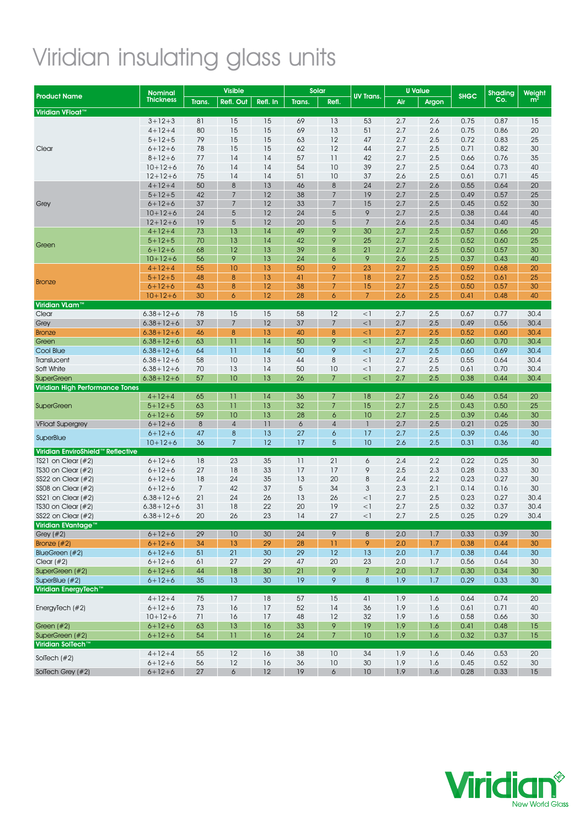# Viridian insulating glass units

|                                               | <b>Nominal</b>   | <b>Visible</b> |                  | Solar    |        |                 |                  | <b>U</b> Value |       | Shading     |      |                          |
|-----------------------------------------------|------------------|----------------|------------------|----------|--------|-----------------|------------------|----------------|-------|-------------|------|--------------------------|
| <b>Product Name</b>                           | <b>Thickness</b> | Trans.         | Refl. Out        | Refl. In | Trans. | Refl.           | <b>UV Trans.</b> | Air            | Argon | <b>SHGC</b> | Co.  | Weight<br>m <sup>2</sup> |
| Viridian VFloat <sup>™</sup>                  |                  |                |                  |          |        |                 |                  |                |       |             |      |                          |
|                                               | $3 + 12 + 3$     | 81             | 15               | 15       | 69     | 13              | 53               | 2.7            | 2.6   | 0.75        | 0.87 | 15                       |
|                                               | $4 + 12 + 4$     | 80             | 15               | 15       | 69     | 13              | 51               | 2.7            | 2.6   | 0.75        | 0.86 | 20                       |
|                                               | $5 + 12 + 5$     | 79             | 15               | 15       | 63     | 12              | 47               | 2.7            | 2.5   | 0.72        | 0.83 | 25                       |
| Clear                                         | $6 + 12 + 6$     | 78             | 15               | 15       | 62     | 12              | 44               | 2.7            | 2.5   | 0.71        | 0.82 | 30                       |
|                                               | $8 + 12 + 6$     | 77             | 14               | 14       | 57     | 11              | 42               | 2.7            | 2.5   | 0.66        | 0.76 | 35                       |
|                                               | $10+12+6$        | 76             | 14               | 14       | 54     | 10              | 39               | 2.7            | 2.5   | 0.64        | 0.73 | 40                       |
|                                               | $12 + 12 + 6$    | 75             | 14               | 14       | 51     | 10              | 37               | 2.6            | 2.5   | 0.61        | 0.71 | 45                       |
|                                               | $4 + 12 + 4$     | 50             | $\boldsymbol{8}$ | 13       | 46     | $\bf 8$         | 24               | 2.7            | 2.6   | 0.55        | 0.64 | 20                       |
|                                               | $5 + 12 + 5$     | 42             | 7                | 12       | 38     | $\overline{7}$  | 19               | 2.7            | 2.5   | 0.49        | 0.57 | 25                       |
| Grey                                          | $6 + 12 + 6$     | 37             | $\overline{7}$   | 12       | 33     | $\overline{7}$  | 15               | 2.7            | 2.5   | 0.45        | 0.52 | 30                       |
|                                               | $10 + 12 + 6$    | 24             | 5                | 12       | 24     | 5               | 9                | 2.7            | 2.5   | 0.38        | 0.44 | 40                       |
|                                               | $12 + 12 + 6$    | 19             | 5                | 12       | 20     | 5               | $\overline{7}$   | 2.6            | 2.5   | 0.34        | 0.40 | 45                       |
|                                               | $4 + 12 + 4$     | 73             | 13               | 14       | 49     | 9               | 30               | 2.7            | 2.5   | 0.57        | 0.66 | 20                       |
|                                               | $5 + 12 + 5$     | 70             | 13               | 14       | 42     | 9               | 25               | 2.7            | 2.5   | 0.52        | 0.60 | 25                       |
| Green                                         | $6 + 12 + 6$     | 68             | 12               | 13       | 39     | 8               | 21               | 2.7            | 2.5   | 0.50        | 0.57 | 30                       |
|                                               | $10+12+6$        | 56             | 9                | 13       | 24     | 6               | 9                | 2.6            | 2.5   | 0.37        | 0.43 | 40                       |
|                                               | $4 + 12 + 4$     | 55             | 10               | 13       | 50     | 9               | 23               | 2.7            | 2.5   | 0.59        | 0.68 | 20                       |
|                                               | $5 + 12 + 5$     | 48             | 8                | 13       | 41     | $\overline{7}$  | 18               | 2.7            | 2.5   | 0.52        | 0.61 | 25                       |
| <b>Bronze</b>                                 | $6 + 12 + 6$     | 43             | $\boldsymbol{8}$ | 12       | 38     | $\overline{7}$  | 15               | 2.7            | 2.5   | 0.50        | 0.57 | 30                       |
|                                               | $10 + 12 + 6$    | 30             | $\ddot{\delta}$  | 12       | 28     | 6               | $7\overline{ }$  | 2.6            | 2.5   | 0.41        | 0.48 | 40                       |
| Viridian VLam™                                |                  |                |                  |          |        |                 |                  |                |       |             |      |                          |
| Clear                                         | $6.38 + 12 + 6$  | 78             | 15               | 15       | 58     | 12              | $<$ ]            | 2.7            | 2.5   | 0.67        | 0.77 | 30.4                     |
| Grey                                          | $6.38 + 12 + 6$  | 37             | $\overline{7}$   | 12       | 37     | $\overline{7}$  | $<$ ]            | 2.7            | 2.5   | 0.49        | 0.56 | 30.4                     |
| <b>Bronze</b>                                 | $6.38 + 12 + 6$  | 46             | $\bf 8$          | 13       | 40     | 8               | $\leq$ 1         | 2.7            | 2.5   | 0.52        | 0.60 | 30.4                     |
| Green                                         | $6.38 + 12 + 6$  | 63             | 11               | 14       | 50     | 9               | $\leq$ ]         | 2.7            | 2.5   | 0.60        | 0.70 | 30.4                     |
| Cool Blue                                     | $6.38 + 12 + 6$  | 64             | 11               | 14       | 50     | 9               | $\leq$ ]         | 2.7            | 2.5   | 0.60        | 0.69 | 30.4                     |
| Translucent                                   | $6.38 + 12 + 6$  | 58             | 10               | 13       | 44     | 8               | $<$ ]            | 2.7            | 2.5   | 0.55        | 0.64 | 30.4                     |
| Soft White                                    | $6.38 + 12 + 6$  | 70             | 13               | 14       | 50     | 10              | $<$ ]            | 2.7            | 2.5   | 0.61        | 0.70 | 30.4                     |
| <b>SuperGreen</b>                             | $6.38 + 12 + 6$  | 57             | 10               | 13       | 26     | $\overline{7}$  | $<$ ]            | 2.7            | 2.5   | 0.38        | 0.44 | 30.4                     |
| <b>Viridian High Performance Tones</b>        |                  |                |                  |          |        |                 |                  |                |       |             |      |                          |
|                                               | $4 + 12 + 4$     | 65             | $\overline{11}$  | 14       | 36     | $\overline{7}$  | 18               | 2.7            | 2.6   | 0.46        | 0.54 | 20                       |
| <b>SuperGreen</b>                             | $5 + 12 + 5$     | 63             | $\overline{11}$  | 13       | 32     | $\overline{7}$  | 15               | 2.7            | 2.5   | 0.43        | 0.50 | 25                       |
|                                               | $6 + 12 + 6$     | 59             | 10               | 13       | 28     | 6               | 10               | 2.7            | 2.5   | 0.39        | 0.46 | 30                       |
| <b>VFloat Supergrey</b>                       | $6 + 12 + 6$     | $\,8\,$        | $\sqrt{4}$       | 11       | 6      | $\overline{4}$  | $\mathbf{I}$     | 2.7            | 2.5   | 0.21        | 0.25 | 30                       |
|                                               | $6 + 12 + 6$     | 47             | $\bf 8$          | 13       | 27     | 6               | 17               | 2.7            | 2.5   | 0.39        | 0.46 | 30                       |
| SuperBlue                                     | $10+12+6$        | 36             | $\overline{7}$   | 12       | 17     | 5               | 10               | 2.6            | 2.5   | 0.31        | 0.36 | 40                       |
| Viridian EnviroShield <sup>™</sup> Reflective |                  |                |                  |          |        |                 |                  |                |       |             |      |                          |
| TS21 on Clear $(\#2)$                         | $6 + 12 + 6$     | 18             | 23               | 35       | 11     | 21              | 6                | 2.4            | 2.2   | 0.22        | 0.25 | 30                       |
| TS30 on Clear $(\#2)$                         | $6 + 12 + 6$     | 27             | 18               | 33       | 17     | 17              | 9                | 2.5            | 2.3   | 0.28        | 0.33 | 30                       |
| SS22 on Clear $(\#2)$                         | $6 + 12 + 6$     | 18             | 24               | 35       | 13     | 20              | 8                | 2.4            | 2.2   | 0.23        | 0.27 | 30                       |
| SS08 on Clear $(\#2)$                         | $6 + 12 + 6$     | $\overline{7}$ | 42               | 37       | 5      | 34              | 3                | 2.3            | 2.1   | 0.14        | 0.16 | 30                       |
| SS21 on Clear $(\#2)$                         | $6.38 + 12 + 6$  | 21             | 24               | 26       | 13     | 26              | $<$ ]            | 2.7            | 2.5   | 0.23        | 0.27 | 30.4                     |
| TS30 on Clear $(\#2)$                         | $6.38 + 12 + 6$  | 31             | 18               | 22       | 20     | 19              | $<$ 1            | 2.7            | 2.5   | 0.32        | 0.37 | 30.4                     |
| SS22 on Clear $(\#2)$                         | $6.38 + 12 + 6$  | 20             | 26               | 23       | 14     | 27              | $<$ ]            | 2.7            | 2.5   | 0.25        | 0.29 | 30.4                     |
| Viridian EVantage                             |                  |                |                  |          |        |                 |                  |                |       |             |      |                          |
| Grey $(#2)$                                   | $6 + 12 + 6$     | 29             | 10               | 30       | 24     | 9               | 8                | 2.0            | 1.7   | 0.33        | 0.39 | 30                       |
| Bronze $(\#2)$                                | $6 + 12 + 6$     | 34             | 13               | 29       | 28     | $\overline{11}$ | 9                | 2.0            | 1.7   | 0.38        | 0.44 | 30                       |
| BlueGreen (#2)                                | $6 + 12 + 6$     | 51             | 21               | 30       | 29     | 12              | 13               | 2.0            | 1.7   | 0.38        | 0.44 | 30                       |
| Clear $(\#2)$                                 | $6 + 12 + 6$     | 61             | 27               | 29       | 47     | 20              | 23               | 2.0            | 1.7   | 0.56        | 0.64 | 30                       |
| SuperGreen (#2)                               | $6 + 12 + 6$     | 44             | 18               | 30       | 21     | 9               | $\overline{7}$   | 2.0            | 1.7   | 0.30        | 0.34 | 30                       |
| SuperBlue (#2)                                | $6 + 12 + 6$     | 35             | 13               | 30       | 19     | 9               | $\bf 8$          | 1.9            | 1.7   | 0.29        | 0.33 | 30                       |
| Viridian EnergyTech™                          |                  |                |                  |          |        |                 |                  |                |       |             |      |                          |
|                                               | $4 + 12 + 4$     | 75             | $17\,$           | 18       | 57     | 15              | 41               | 1.9            | 1.6   | 0.64        | 0.74 | 20                       |
| EnergyTech (#2)                               | $6 + 12 + 6$     | 73             | 16               | 17       | 52     | 14              | 36               | 1.9            | 1.6   | 0.61        | 0.71 | 40                       |
|                                               | $10+12+6$        | 71             | 16               | 17       | 48     | 12              | 32               | 1.9            | 1.6   |             | 0.66 | 30                       |
|                                               |                  |                |                  |          |        |                 |                  |                |       | 0.58        |      |                          |
| Green $#2)$<br>SuperGreen (#2)                | $6 + 12 + 6$     | 63             | 13<br>11         | 16       | 33     | 9               | 19               | 1.9            | 1.6   | 0.41        | 0.48 | 15                       |
| Viridian SolTech™                             | $6 + 12 + 6$     | 54             |                  | 16       | 24     | $\overline{7}$  | 10               | 1.9            | 1.6   | 0.32        | 0.37 | 15                       |
|                                               |                  |                | 12               |          |        |                 |                  |                |       |             |      |                          |
| SolTech $#2)$                                 | $4 + 12 + 4$     | 55             |                  | 16       | 38     | 10              | 34               | 1.9            | 1.6   | 0.46        | 0.53 | 20                       |
|                                               | $6 + 12 + 6$     | 56             | 12               | 16       | 36     | 10              | 30               | 1.9            | 1.6   | 0.45        | 0.52 | 30                       |
| SolTech Grey (#2)                             | $6 + 12 + 6$     | 27             | 6                | 12       | 19     | 6               | 10               | 1.9            | 1.6   | 0.28        | 0.33 | 15                       |

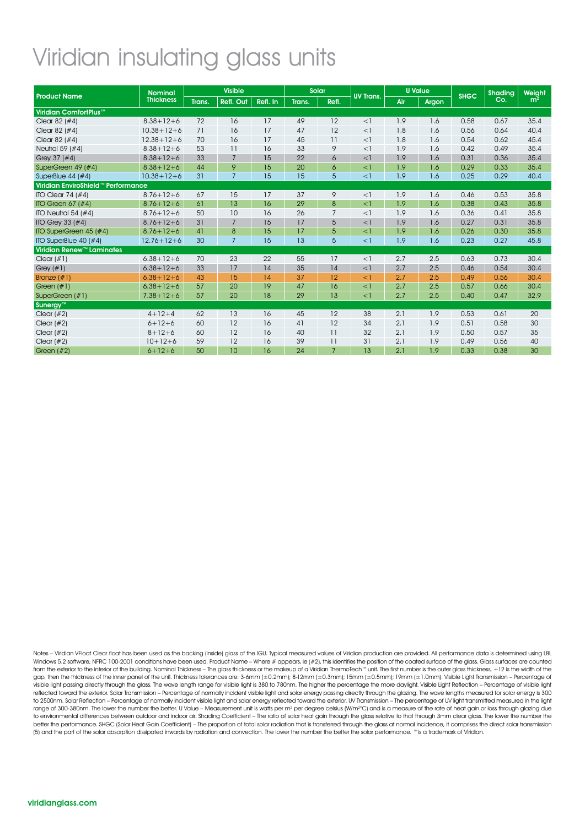## Viridian insulating glass units

|                                    | <b>Nominal</b>   |        | <b>Visible</b>  |          | <b>Solar</b> |                |                  |     | <b>U</b> Value |             | <b>Shading</b> | Weight         |
|------------------------------------|------------------|--------|-----------------|----------|--------------|----------------|------------------|-----|----------------|-------------|----------------|----------------|
| <b>Product Name</b>                | <b>Thickness</b> | Trans. | Refl. Out       | Refl. In | Trans.       | Refl.          | <b>UV Trans.</b> | Air | Argon          | <b>SHGC</b> | Co.            | m <sup>2</sup> |
| Viridian ComfortPlus™              |                  |        |                 |          |              |                |                  |     |                |             |                |                |
| Clear 82 $(#4)$                    | $8.38 + 12 + 6$  | 72     | 16              | 17       | 49           | 12             | $<$ ]            | 1.9 | 1.6            | 0.58        | 0.67           | 35.4           |
| Clear 82 $(#4)$                    | $10.38 + 12 + 6$ | 71     | 16              | 17       | 47           | 12             | $<$ ]            | 1.8 | 1.6            | 0.56        | 0.64           | 40.4           |
| Clear 82 $(#4)$                    | $12.38 + 12 + 6$ | 70     | 16              | 17       | 45           | 11             | $<$ ]            | 1.8 | 1.6            | 0.54        | 0.62           | 45.4           |
| Neutral 59 (#4)                    | $8.38 + 12 + 6$  | 53     | 11              | 16       | 33           | 9              | $<$ ]            | 1.9 | 1.6            | 0.42        | 0.49           | 35.4           |
| Grey 37 (#4)                       | $8.38 + 12 + 6$  | 33     | $7\overline{ }$ | 15       | 22           | 6              | $<$ ]            | 1.9 | 1.6            | 0.31        | 0.36           | 35.4           |
| SuperGreen 49 (#4)                 | $8.38 + 12 + 6$  | 44     | 9               | 15       | 20           | 6              | $<$ ]            | 1.9 | 1.6            | 0.29        | 0.33           | 35.4           |
| SuperBlue $44$ ( $#4$ )            | $10.38 + 12 + 6$ | 31     | $\overline{7}$  | 15       | 15           | 5              | $\leq$ ]         | 1.9 | 1.6            | 0.25        | 0.29           | 40.4           |
| Viridian EnviroShield™ Performance |                  |        |                 |          |              |                |                  |     |                |             |                |                |
| ITO Clear $74$ (#4)                | $8.76 + 12 + 6$  | 67     | 15              | 17       | 37           | 9              | $<$ ]            | 1.9 | 1.6            | 0.46        | 0.53           | 35.8           |
| ITO Green $67$ ( $#4$ )            | $8.76 + 12 + 6$  | 61     | 13              | 16       | 29           | 8              | $\leq$ ]         | 1.9 | 1.6            | 0.38        | 0.43           | 35.8           |
| ITO Neutral 54 $(#4)$              | $8.76 + 12 + 6$  | 50     | 10              | 16       | 26           | $\overline{7}$ | $<$ ]            | 1.9 | 1.6            | 0.36        | 0.41           | 35.8           |
| ITO Grey 33 $#4$                   | $8.76 + 12 + 6$  | 31     | $\overline{7}$  | 15       | 17           | 5              | $<$ ]            | 1.9 | 1.6            | 0.27        | 0.31           | 35.8           |
| ITO SuperGreen 45 (#4)             | $8.76 + 12 + 6$  | 41     | 8               | 15       | 17           | 5              | $<$ ]            | 1.9 | 1.6            | 0.26        | 0.30           | 35.8           |
| ITO SuperBlue $40$ ( $#4$ )        | $12.76 + 12 + 6$ | 30     | $\overline{7}$  | 15       | 13           | 5              | $<$ ]            | 1.9 | 1.6            | 0.23        | 0.27           | 45.8           |
| <b>Viridian Renew™ Laminates</b>   |                  |        |                 |          |              |                |                  |     |                |             |                |                |
| Clear $(\#1)$                      | $6.38 + 12 + 6$  | 70     | 23              | 22       | 55           | 17             | $<$ ]            | 2.7 | 2.5            | 0.63        | 0.73           | 30.4           |
| Grey $(#1)$                        | $6.38 + 12 + 6$  | 33     | 17              | 14       | 35           | 14             | $<$ ]            | 2.7 | 2.5            | 0.46        | 0.54           | 30.4           |
| Bronze $(\#1)$                     | $6.38 + 12 + 6$  | 43     | 15              | 14       | 37           | 12             | $<$ ]            | 2.7 | 2.5            | 0.49        | 0.56           | 30.4           |
| Green $(\#1)$                      | $6.38 + 12 + 6$  | 57     | 20              | 19       | 47           | 16             | $<$ ]            | 2.7 | 2.5            | 0.57        | 0.66           | 30.4           |
| SuperGreen (#1)                    | $7.38 + 12 + 6$  | 57     | 20              | 18       | 29           | 13             | $\leq$ ]         | 2.7 | 2.5            | 0.40        | 0.47           | 32.9           |
| Sunergy <sup>™</sup>               |                  |        |                 |          |              |                |                  |     |                |             |                |                |
| Clear $(\#2)$                      | $4 + 12 + 4$     | 62     | 13              | 16       | 45           | 12             | 38               | 2.1 | 1.9            | 0.53        | 0.61           | 20             |
| Clear $(\#2)$                      | $6 + 12 + 6$     | 60     | 12              | 16       | 41           | 12             | 34               | 2.1 | 1.9            | 0.51        | 0.58           | 30             |
| Clear $(+2)$                       | $8 + 12 + 6$     | 60     | 12              | 16       | 40           | 11             | 32               | 2.1 | 1.9            | 0.50        | 0.57           | 35             |
| Clear $(\#2)$                      | $10+12+6$        | 59     | 12              | 16       | 39           | 11             | 31               | 2.1 | 1.9            | 0.49        | 0.56           | 40             |
| Green $#2)$                        | $6 + 12 + 6$     | 50     | 10              | 16       | 24           | $\overline{7}$ | 13               | 2.1 | 1.9            | 0.33        | 0.38           | 30             |

Notes – Viridian VFloat Clear float has been used as the backing (inside) glass of the IGU. Typical measured values of Viridian production are provided. All performance data is determined using LBL<br>Windows 5.2 software, NF from the exterior to the interior of the building. Nominal Thickness – The glass thickness or the makeup of a Viridian ThermoTech™ unit. The first number is the outer glass thickness, +12 is the width of the gap, then the thickness of the inner panel of the unit. Thickness tolerances are: 3-6mm (±0.2mm); 8-12mm (±0.3mm); 15mm (±0.5mm); 19mm (±1.0mm). Visible Light Transmission – Percentage of visible light passing directly through the glass. The wave length range for visible light is 380 to 780nm. The higher the percentage the more daylight. Visible Light Reflection – Percentage of visible light reflected toward the exterior. Solar Transmission – Percentage of normally incident visible light and solar energy passing directly through the glazing. The wave lengths measured for solar energy is 300 to 2500nm. Solar Reflection – Percentage of normally incident visible light and solar energy reflected toward the exterior. UV Transmission – The percentage of UV light transmitted measured in the light<br>range of 300-380nm. to environmental differences between outdoor and indoor air. Shading Coefficient – The ratio of solar heat gain through the glass relative to that through 3mm clear glass. The lower the number the better the performance. SHGC (Solar Heat Gain Coefficient) – The proportion of total solar radiation that is transferred through the glass at normal incidence, it comprises the direct solar transmission (5) and the part of the solar absorption dissipated inwards by radiation and convection. The lower the number the better the solar performance. ™ is a trademark of Viridian.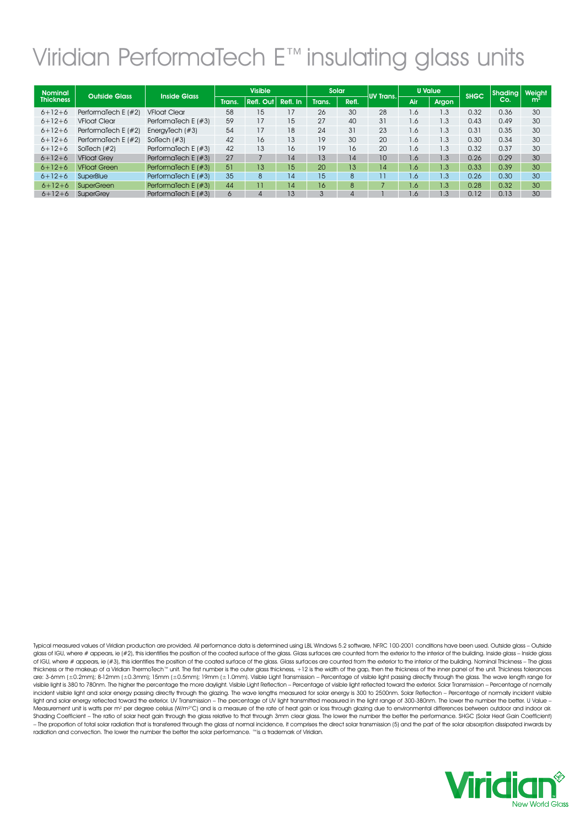# Viridian PerformaTech E™ insulating glass units

| <b>Nominal</b>   | <b>Outside Glass</b>   |                        | <b>Visible</b> |                     |          | Solar  |       |                 | <b>U</b> Value |       |             | Shading   Weight |                |
|------------------|------------------------|------------------------|----------------|---------------------|----------|--------|-------|-----------------|----------------|-------|-------------|------------------|----------------|
| <b>Thickness</b> |                        | <b>Inside Glass</b>    | Trans.         | $Refl.$ Out $\vert$ | Refl. In | Trans. | Refl. | UV Trans.       | Air            | Argon | <b>SHGC</b> | Co.              | $\mathsf{m}^2$ |
| $6 + 12 + 6$     | PerformaTech E $#2$    | <b>VFloat Clear</b>    | 58             | 15                  | 17       | 26     | 30    | 28              | 1.6            | 1.3   | 0.32        | 0.36             | 30             |
| $6 + 12 + 6$     | <b>VFloat Clear</b>    | PerformaTech E $(\#3)$ | 59             | 17                  | 15       | 27     | 40    | 31              | 1.6            | 1.3   | 0.43        | 0.49             | 30             |
| $6 + 12 + 6$     | PerformaTech E $(\#2)$ | EnergyTech $(\#3)$     | 54             | 17                  | 18       | 24     | 31    | 23              | 1.6            | 1.3   | 0.31        | 0.35             | 30             |
| $6 + 12 + 6$     | PerformaTech E $(\#2)$ | SolTech $(\#3)$        | 42             | 16                  | 13       | 19     | 30    | 20              | 1.6            | 1.3   | 0.30        | 0.34             | 30             |
| $6 + 12 + 6$     | Sollech $(f#2)$        | PerformaTech E $(\#3)$ | 42             | 13                  | 16       | 19     | 16    | 20              | 1.6            | 1.3   | 0.32        | 0.37             | 30             |
| $6 + 12 + 6$     | <b>VFloat Grev</b>     | Performatech E $(\#3)$ | 27             |                     | 14       | 13     | 14    | 10              | 1.6            | 1.3   | 0.26        | 0.29             | 30             |
| $6 + 12 + 6$     | <b>VFloat Green</b>    | Performatech E $(\#3)$ | 51             | 13                  | 15       | 20     | 13    | 14              | $1.6^{7}$      | 1.3   | 0.33        | 0.39             | 30             |
| $6 + 12 + 6$     | SuperBlue              | Performatech E $(\#3)$ | 35             | 8                   | 14       | 15     | 8     | $\overline{11}$ | 1.6            | 1.3   | 0.26        | 0.30             | 30             |
| $6 + 12 + 6$     | <b>SuperGreen</b>      | Performatech E $(\#3)$ | 44             |                     | 14       | 16     | 8     | -               | 1.6            | 1.3   | 0.28        | 0.32             | 30             |
| $6 + 12 + 6$     | <b>SuperGrev</b>       | Performatech E $(\#3)$ | 6              | 4                   | 13       | 3      | 4     |                 | 1.6            | 1.3   | 0.12        | 0.13             | 30             |

Typical measured values of Viridian production are provided. All performance data is determined using LBL Windows 5.2 software, NFRC 100-2001 conditions have been used. Outside glass – Outside glass of IGU, where # appears, ie (#2), this identifies the position of the coated surface of the glass. Glass surfaces are counted from the exterior to the interior of the building. Inside glass – Inside glass of IGU, where # appears, ie (#3), this identifies the position of the coated surface of the glass. Glass surfaces are counted from the exterior to the interior of the building. Nominal Thickness – The glass thickness or the makeup of a Viridian ThermoTech™ unit. The first number is the outer glass thickness, +12 is the width of the gap, then the thickness of the inner panel of the unit. Thickness tolerances are: 3-6mm (±0.2mm); 8-12mm (±0.3mm); 15mm (±0.5mm); 19mm (±1.0mm). Visible Light Transmission – Percentage of visible light passing directly through the glass. The wave length range for visible light is 380 to 780nm. The higher the percentage the more daylight. Visible Light Reflection – Percentage of visible light reflected toward the exterior. Solar Transmission – Percentage of normally incident visible light and solar energy passing directly through the glazing. The wave lengths measured for solar energy is 300 to 2500nm. Solar Reflection – Percentage of normally incident visible light and solar energy reflected toward the exterior. UV Transmission – The percentage of UV light transmitted measured in the light range of 300-380nm. The lower the number the better. U Value –<br>Measurement unit is watts Shading Coefficient – The ratio of solar heat gain through the glass relative to that through 3mm clear glass. The lower the number the better the performance. SHGC (Solar Heat Gain Coefficient) – The proportion of total solar radiation that is transferred through the glass at normal incidence, it comprises the direct solar transmission (5) and the part of the solar absorption dissipated inwards by radiation and convection. The lower the number the better the solar performance. ™ is a trademark of Viridian.

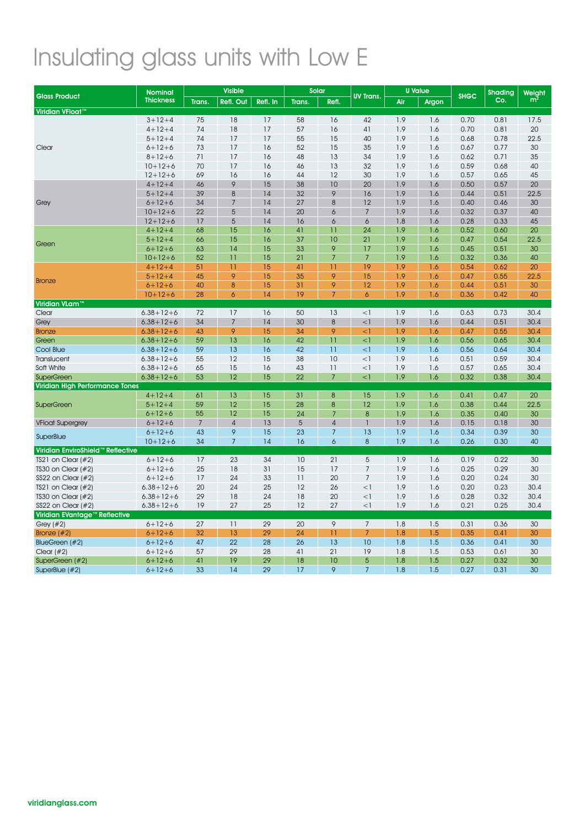# Insulating glass units with Low E

|                                        | <b>Nominal</b>   | <b>Visible</b> |                  | Solar    |        |                  | <b>U</b> Value   |     |       | <b>Shading</b> | Weight |                |
|----------------------------------------|------------------|----------------|------------------|----------|--------|------------------|------------------|-----|-------|----------------|--------|----------------|
| <b>Glass Product</b>                   | <b>Thickness</b> | Trans.         | <b>Refl. Out</b> | Refl. In | Trans. | Refl.            | <b>UV Trans.</b> | Air | Argon | <b>SHGC</b>    | Co.    | m <sup>2</sup> |
| Viridian VFloat <sup>™</sup>           |                  |                |                  |          |        |                  |                  |     |       |                |        |                |
|                                        | $3 + 12 + 4$     | 75             | 18               | 17       | 58     | 16               | 42               | 1.9 | 1.6   | 0.70           | 0.81   | 17.5           |
|                                        | $4 + 12 + 4$     | 74             | 18               | 17       | 57     | 16               | 41               | 1.9 | 1.6   | 0.70           | 0.81   | 20             |
|                                        | $5 + 12 + 4$     | 74             | 17               | 17       | 55     | 15               | 40               | 1.9 | 1.6   | 0.68           | 0.78   | 22.5           |
| Clear                                  | $6 + 12 + 6$     | 73             | 17               | 16       | 52     | 15               | 35               | 1.9 | 1.6   | 0.67           | 0.77   | 30             |
|                                        | $8 + 12 + 6$     | 71             | 17               | 16       | 48     | 13               | 34               | 1.9 | 1.6   | 0.62           | 0.71   | 35             |
|                                        | $10 + 12 + 6$    | 70             | 17               | 16       | 46     | 13               | 32               | 1.9 | 1.6   | 0.59           | 0.68   | 40             |
|                                        | $12 + 12 + 6$    | 69             | 16               | 16       | 44     | 12               | 30               | 1.9 | 1.6   | 0.57           | 0.65   | 45             |
|                                        | $4 + 12 + 4$     | 46             | 9                | 15       | 38     | 10               | 20               | 1.9 | 1.6   | 0.50           | 0.57   | 20             |
|                                        | $5 + 12 + 4$     | 39             | $\,8\,$          | 14       | 32     | 9                | 16               | 1.9 | 1.6   | 0.44           | 0.51   | 22.5           |
| Grey                                   | $6 + 12 + 6$     | 34             | $\overline{7}$   | 14       | 27     | $\bf 8$          | 12               | 1.9 | 1.6   | 0.40           | 0.46   | 30             |
|                                        | $10 + 12 + 6$    | 22             | 5                | 14       | 20     | 6                | $\overline{7}$   | 1.9 | 1.6   | 0.32           | 0.37   | 40             |
|                                        | $12 + 12 + 6$    | 17             | 5                | 14       | 16     | 6                | 6                | 1.8 | 1.6   | 0.28           | 0.33   | 45             |
|                                        | $4 + 12 + 4$     | 68             | 15               | 16       | 41     | 11               | 24               | 1.9 | 1.6   | 0.52           | 0.60   | 20             |
| Green                                  | $5 + 12 + 4$     | 66             | 15               | 16       | 37     | 10               | 21               | 1.9 | 1.6   | 0.47           | 0.54   | 22.5           |
|                                        | $6 + 12 + 6$     | 63             | 14               | 15       | 33     | 9                | 17               | 1.9 | 1.6   | 0.45           | 0.51   | 30             |
|                                        | $10 + 12 + 6$    | 52             | $\overline{11}$  | 15       | 21     | $\overline{7}$   | $\overline{7}$   | 1.9 | 1.6   | 0.32           | 0.36   | 40             |
|                                        | $4 + 12 + 4$     | 51             | $\overline{11}$  | 15       | 41     | 11               | 19               | 1.9 | 1.6   | 0.54           | 0.62   | 20             |
| <b>Bronze</b>                          | $5 + 12 + 4$     | 45             | 9                | 15       | 35     | 9                | 15               | 1.9 | 1.6   | 0.47           | 0.55   | 22.5           |
|                                        | $6 + 12 + 6$     | 40             | 8                | 15       | 31     | 9                | 12               | 1.9 | 1.6   | 0.44           | 0.51   | 30             |
|                                        | $10 + 12 + 6$    | 28             | 6                | 14       | 19     | $\overline{7}$   | $\ddot{\delta}$  | 1.9 | 1.6   | 0.36           | 0.42   | 40             |
| Viridian VLam <sup>™</sup>             |                  |                |                  |          |        |                  |                  |     |       |                |        |                |
| Clear                                  | $6.38 + 12 + 6$  | 72             | 17               | 16       | 50     | 13               | $<$ ]            | 1.9 | 1.6   | 0.63           | 0.73   | 30.4           |
| Grey                                   | $6.38 + 12 + 6$  | 34             | $\overline{7}$   | 14       | 30     | $\boldsymbol{8}$ | $<$ ]            | 1.9 | 1.6   | 0.44           | 0.51   | 30.4           |
| <b>Bronze</b>                          | $6.38 + 12 + 6$  | 43             | 9                | 15       | 34     | 9                | $\leq$ ]         | 1.9 | 1.6   | 0.47           | 0.55   | 30.4           |
| Green                                  | $6.38 + 12 + 6$  | 59             | 13               | 16       | 42     | 11               | $\leq$ ]         | 1.9 | 1.6   | 0.56           | 0.65   | 30.4           |
| Cool Blue                              | $6.38 + 12 + 6$  | 59             | 13               | 16       | 42     | 11               | $\leq$ ]         | 1.9 | 1.6   | 0.56           | 0.64   | 30.4           |
| Translucent                            | $6.38 + 12 + 6$  | 55             | 12               | 15       | 38     | 10               | $<$ ]            | 1.9 | 1.6   | 0.51           | 0.59   | 30.4           |
| Soft White                             | $6.38 + 12 + 6$  | 65             | 15               | 16       | 43     | 11               | $<$ ]            | 1.9 | 1.6   | 0.57           | 0.65   | 30.4           |
| <b>SuperGreen</b>                      | $6.38 + 12 + 6$  | 53             | 12               | 15       | 22     | $\overline{7}$   | $\leq$ ]         | 1.9 | 1.6   | 0.32           | 0.38   | 30.4           |
| <b>Viridian High Performance Tones</b> |                  |                |                  |          |        |                  |                  |     |       |                |        |                |
|                                        | $4 + 12 + 4$     | 61             | 13               | 15       | 31     | $\boldsymbol{8}$ | 15               | 1.9 | 1.6   | 0.41           | 0.47   | 20             |
| <b>SuperGreen</b>                      | $5 + 12 + 4$     | 59             | 12               | 15       | 28     | 8                | 12               | 1.9 | 1.6   | 0.38           | 0.44   | 22.5           |
|                                        | $6 + 12 + 6$     | 55             | 12               | 15       | 24     | $\overline{7}$   | $\boldsymbol{8}$ | 1.9 | 1.6   | 0.35           | 0.40   | 30             |
| <b>VFloat Supergrey</b>                | $6 + 12 + 6$     | $\overline{7}$ | $\sqrt{4}$       | 13       | 5      | $\overline{4}$   | $\mathbf{I}$     | 1.9 | 1.6   | 0.15           | 0.18   | 30             |
| SuperBlue                              | $6 + 12 + 6$     | 43             | 9                | 15       | 23     | $\overline{7}$   | 13               | 1.9 | 1.6   | 0.34           | 0.39   | 30             |
|                                        | $10+12+6$        | 34             | $\overline{7}$   | 14       | 16     | 6                | 8                | 1.9 | 1.6   | 0.26           | 0.30   | 40             |
| Viridian EnviroShield™ Reflective      |                  |                |                  |          |        |                  |                  |     |       |                |        |                |
| TS21 on Clear (#2)                     | $6 + 12 + 6$     | 17             | 23               | 34       | 10     | 21               | 5                | 1.9 | 1.6   | 0.19           | 0.22   | 30             |
| TS30 on Clear $(\#2)$                  | $6 + 12 + 6$     | 25             | 18               | 31       | 15     | 17               | $\overline{7}$   | 1.9 | 1.6   | 0.25           | 0.29   | 30             |
| SS22 on Clear $(\#2)$                  | $6 + 12 + 6$     | 17             | 24               | 33       | 11     | 20               | $\overline{7}$   | 1.9 | 1.6   | 0.20           | 0.24   | 30             |
| TS21 on Clear (#2)                     | $6.38 + 12 + 6$  | 20             | 24               | 25       | 12     | 26               | $\leq$ ]         | 1.9 | 1.6   | 0.20           | 0.23   | 30.4           |
| TS30 on Clear $(\#2)$                  | $6.38 + 12 + 6$  | 29             | 18               | 24       | 18     | 20               | $<$ ]            | 1.9 | 1.6   | 0.28           | 0.32   | 30.4           |
| SS22 on Clear (#2)                     | $6.38 + 12 + 6$  | 19             | 27               | 25       | 12     | 27               | $<$ ]            | 1.9 | 1.6   | 0.21           | 0.25   | 30.4           |
| Viridian EVantage™ Reflective          |                  |                |                  |          |        |                  |                  |     |       |                |        |                |
| Grey $(\#2)$                           | $6 + 12 + 6$     | 27             | 11               | 29       | 20     | 9                | $\overline{7}$   | 1.8 | 1.5   | 0.31           | 0.36   | 30             |
| Bronze $(\#2)$                         | $6 + 12 + 6$     | 32             | 13               | 29       | 24     | 11               | $\overline{7}$   | 1.8 | 1.5   | 0.35           | 0.41   | 30             |
| BlueGreen (#2)                         | $6 + 12 + 6$     | 47             | 22               | 28       | 26     | 13               | 10               | 1.8 | 1.5   | 0.36           | 0.41   | 30             |
| Clear $(\#2)$                          | $6 + 12 + 6$     | 57             | 29               | 28       | 41     | 21               | 19               | 1.8 | 1.5   | 0.53           | 0.61   | 30             |
| SuperGreen (#2)                        | $6 + 12 + 6$     | 41             | 19               | 29       | 18     | 10               | 5                | 1.8 | 1.5   | 0.27           | 0.32   | 30             |
| SuperBlue (#2)                         | $6 + 12 + 6$     | 33             | 14               | 29       | 17     | 9                | $\overline{7}$   | 1.8 | 1.5   | 0.27           | 0.31   | 30             |